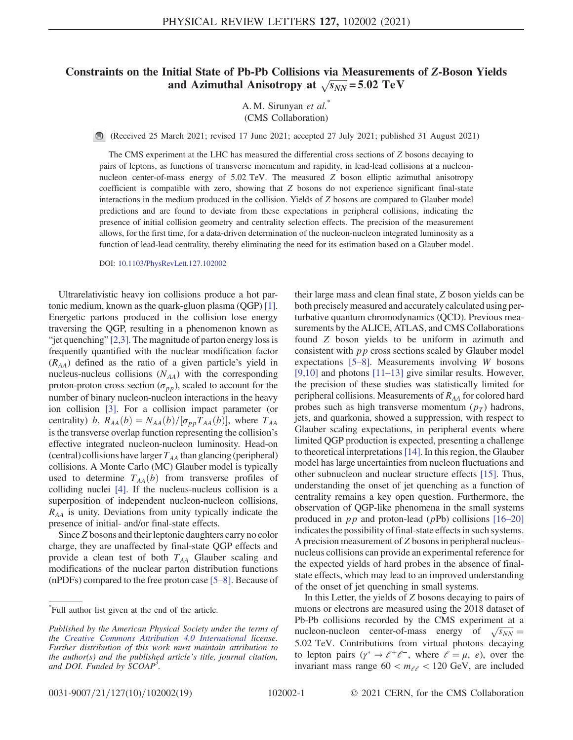## Constraints on the Initial State of Pb-Pb Collisions via Measurements of Z-Boson Yields nitial State of Pb-Pb Collisions via Measuremer<br>and Azimuthal Anisotropy at  $\sqrt{s_{NN}}$ =5.02 TeV

A. M. Sirunyan et al.<sup>\*</sup> (CMS Collaboration)

(Received 25 March 2021; revised 17 June 2021; accepted 27 July 2021; published 31 August 2021)

The CMS experiment at the LHC has measured the differential cross sections of Z bosons decaying to pairs of leptons, as functions of transverse momentum and rapidity, in lead-lead collisions at a nucleonnucleon center-of-mass energy of 5.02 TeV. The measured Z boson elliptic azimuthal anisotropy coefficient is compatible with zero, showing that Z bosons do not experience significant final-state interactions in the medium produced in the collision. Yields of Z bosons are compared to Glauber model predictions and are found to deviate from these expectations in peripheral collisions, indicating the presence of initial collision geometry and centrality selection effects. The precision of the measurement allows, for the first time, for a data-driven determination of the nucleon-nucleon integrated luminosity as a function of lead-lead centrality, thereby eliminating the need for its estimation based on a Glauber model.

DOI: [10.1103/PhysRevLett.127.102002](https://doi.org/10.1103/PhysRevLett.127.102002)

Ultrarelativistic heavy ion collisions produce a hot partonic medium, known as the quark-gluon plasma (QGP) [\[1\]](#page-4-0). Energetic partons produced in the collision lose energy traversing the QGP, resulting in a phenomenon known as "jet quenching" [\[2,3\]](#page-5-0). The magnitude of parton energy loss is frequently quantified with the nuclear modification factor  $(R_{AA})$  defined as the ratio of a given particle's yield in nucleus-nucleus collisions  $(N_{AA})$  with the corresponding proton-proton cross section ( $\sigma_{nn}$ ), scaled to account for the number of binary nucleon-nucleon interactions in the heavy ion collision [\[3\]](#page-5-1). For a collision impact parameter (or centrality) b,  $R_{AA}(b) = N_{AA}(b) / [\sigma_{pp} T_{AA}(b)]$ , where  $T_{AA}$ is the transverse overlap function representing the collision's effective integrated nucleon-nucleon luminosity. Head-on (central) collisions have larger  $T_{AA}$  than glancing (peripheral) collisions. A Monte Carlo (MC) Glauber model is typically used to determine  $T_{AA}(b)$  from transverse profiles of colliding nuclei [\[4\].](#page-5-2) If the nucleus-nucleus collision is a superposition of independent nucleon-nucleon collisions,  $R_{AA}$  is unity. Deviations from unity typically indicate the presence of initial- and/or final-state effects.

Since Z bosons and their leptonic daughters carry no color charge, they are unaffected by final-state QGP effects and provide a clean test of both  $T_{AA}$  Glauber scaling and modifications of the nuclear parton distribution functions (nPDFs) compared to the free proton case [5–[8\].](#page-5-3) Because of their large mass and clean final state, Z boson yields can be both precisely measured and accurately calculated using perturbative quantum chromodynamics (QCD). Previous measurements by the ALICE, ATLAS, and CMS Collaborations found Z boson yields to be uniform in azimuth and consistent with  $pp$  cross sections scaled by Glauber model expectations [5–[8\]](#page-5-3). Measurements involving W bosons  $[9,10]$  and photons  $[11–13]$  $[11–13]$  give similar results. However, the precision of these studies was statistically limited for peripheral collisions. Measurements of  $R_{AA}$  for colored hard probes such as high transverse momentum  $(p_T)$  hadrons, jets, and quarkonia, showed a suppression, with respect to Glauber scaling expectations, in peripheral events where limited QGP production is expected, presenting a challenge to theoretical interpretations[\[14\]](#page-5-6). In this region, the Glauber model has large uncertainties from nucleon fluctuations and other subnucleon and nuclear structure effects [\[15\]](#page-5-7). Thus, understanding the onset of jet quenching as a function of centrality remains a key open question. Furthermore, the observation of QGP-like phenomena in the small systems produced in  $pp$  and proton-lead ( $pPb$ ) collisions [\[16](#page-5-8)–20] indicates the possibility of final-state effects in such systems. A precision measurement of Z bosons in peripheral nucleusnucleus collisions can provide an experimental reference for the expected yields of hard probes in the absence of finalstate effects, which may lead to an improved understanding of the onset of jet quenching in small systems.

In this Letter, the yields of Z bosons decaying to pairs of muons or electrons are measured using the 2018 dataset of Pb-Pb collisions recorded by the CMS experiment at a Pb-Pb collisions recorded by the CMS experiment at a nucleon-nucleon center-of-mass energy of  $\sqrt{s_{NN}} =$ 5.02 TeV. Contributions from virtual photons decaying to lepton pairs ( $\gamma^* \to \ell^+ \ell^-$ , where  $\ell = \mu$ , e), over the invariant mass range  $60 < m_{\ell\ell} < 120$  GeV, are included

<sup>\*</sup> Full author list given at the end of the article.

Published by the American Physical Society under the terms of the [Creative Commons Attribution 4.0 International](https://creativecommons.org/licenses/by/4.0/) license. Further distribution of this work must maintain attribution to the author(s) and the published article's title, journal citation, and DOI. Funded by SCOAP<sup>3</sup>.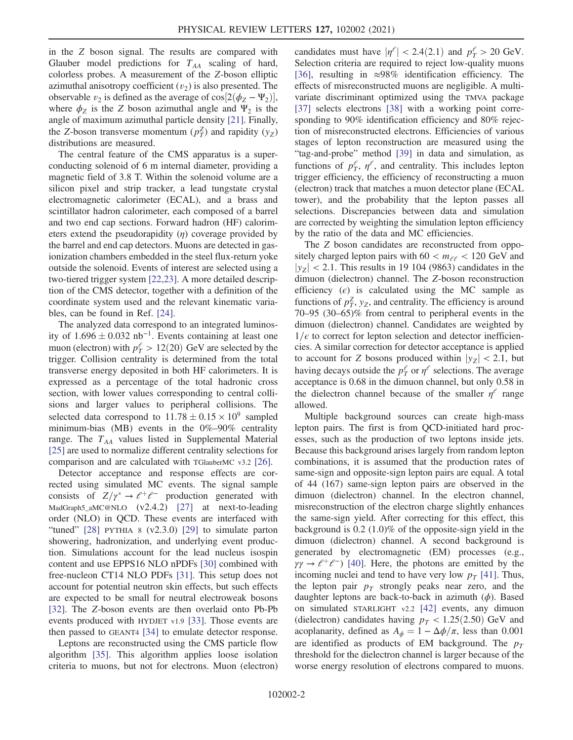in the Z boson signal. The results are compared with Glauber model predictions for  $T_{AA}$  scaling of hard, colorless probes. A measurement of the Z-boson elliptic azimuthal anisotropy coefficient  $(v_2)$  is also presented. The observable  $v_2$  is defined as the average of cos[2 $(\phi_Z - \Psi_2)$ ], where  $\phi_Z$  is the Z boson azimuthal angle and  $\Psi_2$  is the angle of maximum azimuthal particle density [\[21\]](#page-5-9). Finally, the Z-boson transverse momentum  $(p_T^Z)$  and rapidity  $(y_Z)$ distributions are measured.

The central feature of the CMS apparatus is a superconducting solenoid of 6 m internal diameter, providing a magnetic field of 3.8 T. Within the solenoid volume are a silicon pixel and strip tracker, a lead tungstate crystal electromagnetic calorimeter (ECAL), and a brass and scintillator hadron calorimeter, each composed of a barrel and two end cap sections. Forward hadron (HF) calorimeters extend the pseudorapidity  $(n)$  coverage provided by the barrel and end cap detectors. Muons are detected in gasionization chambers embedded in the steel flux-return yoke outside the solenoid. Events of interest are selected using a two-tiered trigger system [\[22,23\]](#page-5-10). A more detailed description of the CMS detector, together with a definition of the coordinate system used and the relevant kinematic variables, can be found in Ref. [\[24\].](#page-5-11)

The analyzed data correspond to an integrated luminosity of  $1.696 \pm 0.032$  nb<sup>-1</sup>. Events containing at least one muon (electron) with  $p_T^e > 12(20)$  GeV are selected by the trigger. Collision centrality is determined from the total transverse energy deposited in both HF calorimeters. It is expressed as a percentage of the total hadronic cross section, with lower values corresponding to central collisions and larger values to peripheral collisions. The selected data correspond to  $11.78 \pm 0.15 \times 10^9$  sampled minimum-bias (MB) events in the 0%–90% centrality range. The  $T_{AA}$  values listed in Supplemental Material [\[25\]](#page-5-12) are used to normalize different centrality selections for comparison and are calculated with TGlauberMC v3.2 [\[26\]](#page-5-13).

Detector acceptance and response effects are corrected using simulated MC events. The signal sample consists of  $Z/\gamma^* \rightarrow \ell^+ \ell^-$  production generated with MadGraph5\_aMC@NLO (v2.4.2) [\[27\]](#page-5-14) at next-to-leading order (NLO) in QCD. These events are interfaced with "tuned"  $[28]$  PYTHIA 8  $(v2.3.0)$   $[29]$  to simulate parton showering, hadronization, and underlying event production. Simulations account for the lead nucleus isospin content and use EPPS16 NLO nPDFs [\[30\]](#page-5-17) combined with free-nucleon CT14 NLO PDFs [\[31\].](#page-5-18) This setup does not account for potential neutron skin effects, but such effects are expected to be small for neutral electroweak bosons [\[32\]](#page-5-19). The Z-boson events are then overlaid onto Pb-Pb events produced with HYDJET v1.9 [\[33\]](#page-5-20). Those events are then passed to GEANT4 [\[34\]](#page-5-21) to emulate detector response.

Leptons are reconstructed using the CMS particle flow algorithm [\[35\]](#page-5-22). This algorithm applies loose isolation criteria to muons, but not for electrons. Muon (electron)

candidates must have  $|\eta^{\ell}| < 2.4(2.1)$  and  $p_T^{\ell} > 20$  GeV. Selection criteria are required to reject low-quality muons [\[36\]](#page-5-23), resulting in ≈98% identification efficiency. The effects of misreconstructed muons are negligible. A multivariate discriminant optimized using the TMVA package [\[37\]](#page-5-24) selects electrons [\[38\]](#page-6-0) with a working point corresponding to 90% identification efficiency and 80% rejection of misreconstructed electrons. Efficiencies of various stages of lepton reconstruction are measured using the "tag-and-probe" method [\[39\]](#page-6-1) in data and simulation, as functions of  $p_T^{\ell}$ ,  $\eta^{\ell}$ , and centrality. This includes lepton trigger efficiency, the efficiency of reconstructing a muon (electron) track that matches a muon detector plane (ECAL tower), and the probability that the lepton passes all selections. Discrepancies between data and simulation are corrected by weighting the simulation lepton efficiency by the ratio of the data and MC efficiencies.

The Z boson candidates are reconstructed from oppositely charged lepton pairs with  $60 < m_{\ell\ell} < 120$  GeV and  $|y_Z|$  < 2.1. This results in 19 104 (9863) candidates in the dimuon (dielectron) channel. The Z-boson reconstruction efficiency  $(\epsilon)$  is calculated using the MC sample as functions of  $p_T^Z$ ,  $y_Z$ , and centrality. The efficiency is around 70–95 (30–65)% from central to peripheral events in the dimuon (dielectron) channel. Candidates are weighted by  $1/\epsilon$  to correct for lepton selection and detector inefficiencies. A similar correction for detector acceptance is applied to account for Z bosons produced within  $|y_Z| < 2.1$ , but having decays outside the  $p_T^{\ell}$  or  $\eta^{\ell}$  selections. The average acceptance is 0.68 in the dimuon channel, but only 0.58 in the dielectron channel because of the smaller  $\eta^{\ell}$  range allowed.

Multiple background sources can create high-mass lepton pairs. The first is from QCD-initiated hard processes, such as the production of two leptons inside jets. Because this background arises largely from random lepton combinations, it is assumed that the production rates of same-sign and opposite-sign lepton pairs are equal. A total of 44 (167) same-sign lepton pairs are observed in the dimuon (dielectron) channel. In the electron channel, misreconstruction of the electron charge slightly enhances the same-sign yield. After correcting for this effect, this background is 0.2 (1.0)% of the opposite-sign yield in the dimuon (dielectron) channel. A second background is generated by electromagnetic (EM) processes (e.g.,  $\gamma \gamma \rightarrow \ell^+ \ell^-$ ) [\[40\].](#page-6-2) Here, the photons are emitted by the incoming nuclei and tend to have very low  $p_T$  [\[41\].](#page-6-3) Thus, the lepton pair  $p<sub>T</sub>$  strongly peaks near zero, and the daughter leptons are back-to-back in azimuth  $(\phi)$ . Based on simulated STARLIGHT v2.2 [\[42\]](#page-6-4) events, any dimuon (dielectron) candidates having  $p_T < 1.25(2.50)$  GeV and acoplanarity, defined as  $A_{\phi} = 1 - \Delta \phi / \pi$ , less than 0.001 are identified as products of EM background. The  $p_T$ threshold for the dielectron channel is larger because of the worse energy resolution of electrons compared to muons.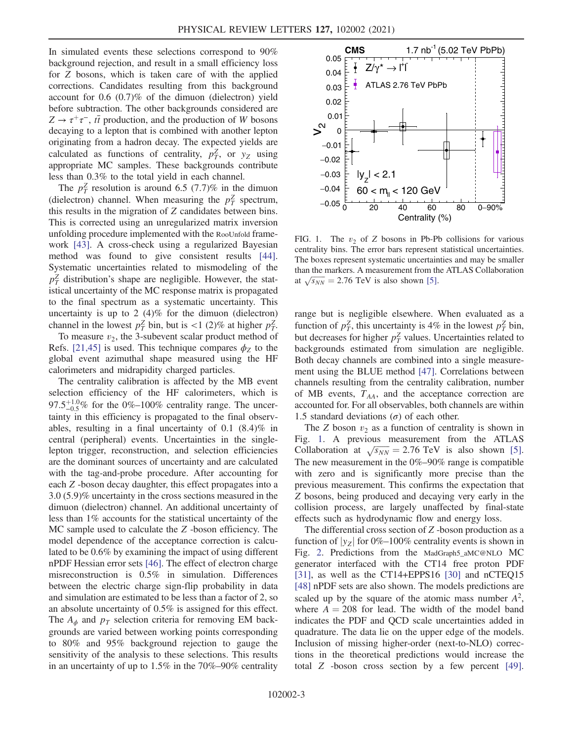In simulated events these selections correspond to 90% background rejection, and result in a small efficiency loss for Z bosons, which is taken care of with the applied corrections. Candidates resulting from this background account for 0.6 (0.7)% of the dimuon (dielectron) yield before subtraction. The other backgrounds considered are  $Z \to \tau^+\tau^-$ ,  $t\bar{t}$  production, and the production of W bosons decaying to a lepton that is combined with another lepton originating from a hadron decay. The expected yields are calculated as functions of centrality,  $p_T^Z$ , or  $y_Z$  using appropriate MC samples. These backgrounds contribute less than 0.3% to the total yield in each channel.

The  $p_T^Z$  resolution is around 6.5 (7.7)% in the dimuon (dielectron) channel. When measuring the  $p_T^Z$  spectrum, this results in the migration of Z candidates between bins. This is corrected using an unregularized matrix inversion unfolding procedure implemented with the RooUnfold framework [\[43\].](#page-6-5) A cross-check using a regularized Bayesian method was found to give consistent results [\[44\]](#page-6-6). Systematic uncertainties related to mismodeling of the  $p_T^Z$  distribution's shape are negligible. However, the statistical uncertainty of the MC response matrix is propagated to the final spectrum as a systematic uncertainty. This uncertainty is up to  $2(4)\%$  for the dimuon (dielectron) channel in the lowest  $p_T^Z$  bin, but is <1 (2)% at higher  $p_T^Z$ .

To measure  $v_2$ , the 3-subevent scalar product method of Refs. [\[21,45\]](#page-5-9) is used. This technique compares  $\phi_Z$  to the global event azimuthal shape measured using the HF calorimeters and midrapidity charged particles.

The centrality calibration is affected by the MB event selection efficiency of the HF calorimeters, which is 97.5<sup>+1.0</sup>% for the 0%–100% centrality range. The uncertainty in this efficiency is propagated to the final observables, resulting in a final uncertainty of 0.1 (8.4)% in central (peripheral) events. Uncertainties in the singlelepton trigger, reconstruction, and selection efficiencies are the dominant sources of uncertainty and are calculated with the tag-and-probe procedure. After accounting for each Z -boson decay daughter, this effect propagates into a 3.0 (5.9)% uncertainty in the cross sections measured in the dimuon (dielectron) channel. An additional uncertainty of less than 1% accounts for the statistical uncertainty of the MC sample used to calculate the Z -boson efficiency. The model dependence of the acceptance correction is calculated to be 0.6% by examining the impact of using different nPDF Hessian error sets [\[46\].](#page-6-7) The effect of electron charge misreconstruction is 0.5% in simulation. Differences between the electric charge sign-flip probability in data and simulation are estimated to be less than a factor of 2, so an absolute uncertainty of 0.5% is assigned for this effect. The  $A_{\phi}$  and  $p_T$  selection criteria for removing EM backgrounds are varied between working points corresponding to 80% and 95% background rejection to gauge the sensitivity of the analysis to these selections. This results in an uncertainty of up to 1.5% in the 70%–90% centrality

<span id="page-2-0"></span>

FIG. 1. The  $v_2$  of Z bosons in Pb-Pb collisions for various centrality bins. The error bars represent statistical uncertainties. The boxes represent systematic uncertainties and may be smaller than the markers. A measurement from the ATLAS Collaboration than the markers. A measurement from the at  $\sqrt{s_{NN}}$  = 2.76 TeV is also shown [\[5\]](#page-5-3).

range but is negligible elsewhere. When evaluated as a function of  $p_T^Z$ , this uncertainty is 4% in the lowest  $p_T^Z$  bin, but decreases for higher  $p_T^Z$  values. Uncertainties related to backgrounds estimated from simulation are negligible. Both decay channels are combined into a single measurement using the BLUE method [\[47\]](#page-6-8). Correlations between channels resulting from the centrality calibration, number of MB events,  $T_{AA}$ , and the acceptance correction are accounted for. For all observables, both channels are within 1.5 standard deviations  $(\sigma)$  of each other.

The Z boson  $v_2$  as a function of centrality is shown in Fig. [1.](#page-2-0) A previous measurement from the ATLAS Fig. 1. A previous measurement from the AILAS<br>Collaboration at  $\sqrt{s_{NN}} = 2.76$  TeV is also shown [\[5\]](#page-5-3). The new measurement in the 0%–90% range is compatible with zero and is significantly more precise than the previous measurement. This confirms the expectation that Z bosons, being produced and decaying very early in the collision process, are largely unaffected by final-state effects such as hydrodynamic flow and energy loss.

The differential cross section of Z -boson production as a function of  $|y_z|$  for 0%–100% centrality events is shown in Fig. [2.](#page-3-0) Predictions from the MadGraph5\_aMC@NLO MC generator interfaced with the CT14 free proton PDF [\[31\]](#page-5-18), as well as the CT14+EPPS16 [\[30\]](#page-5-17) and nCTEQ15 [\[48\]](#page-6-9) nPDF sets are also shown. The models predictions are scaled up by the square of the atomic mass number  $A^2$ , where  $A = 208$  for lead. The width of the model band indicates the PDF and QCD scale uncertainties added in quadrature. The data lie on the upper edge of the models. Inclusion of missing higher-order (next-to-NLO) corrections in the theoretical predictions would increase the total Z -boson cross section by a few percent [\[49\]](#page-6-10).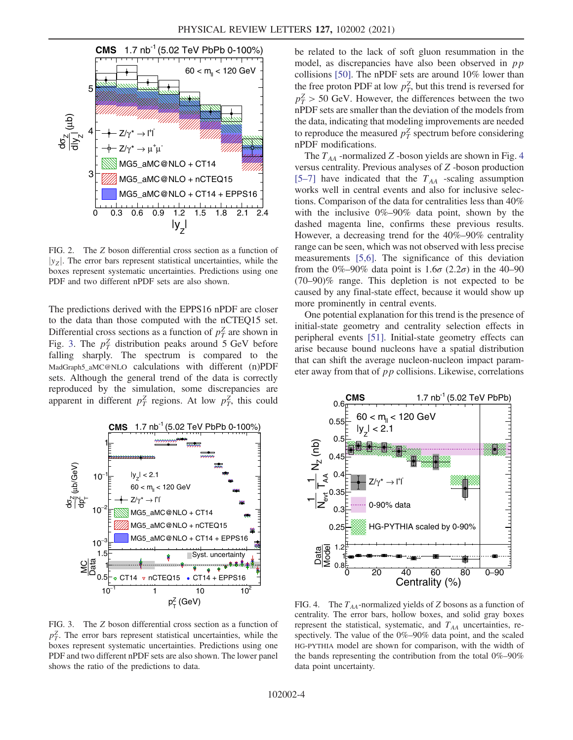<span id="page-3-0"></span>

FIG. 2. The Z boson differential cross section as a function of  $|y_{z}|$ . The error bars represent statistical uncertainties, while the boxes represent systematic uncertainties. Predictions using one PDF and two different nPDF sets are also shown.

The predictions derived with the EPPS16 nPDF are closer to the data than those computed with the nCTEQ15 set. Differential cross sections as a function of  $p_T^Z$  are shown in Fig. [3](#page-3-1). The  $p_T^Z$  distribution peaks around 5 GeV before falling sharply. The spectrum is compared to the MadGraph5\_aMC@NLO calculations with different (n)PDF sets. Although the general trend of the data is correctly reproduced by the simulation, some discrepancies are apparent in different  $p_T^Z$  regions. At low  $p_T^Z$ , this could

<span id="page-3-1"></span>

FIG. 3. The Z boson differential cross section as a function of  $p_T^Z$ . The error bars represent statistical uncertainties, while the boxes represent systematic uncertainties. Predictions using one PDF and two different nPDF sets are also shown. The lower panel shows the ratio of the predictions to data.

be related to the lack of soft gluon resummation in the model, as discrepancies have also been observed in  $pp$ collisions [\[50\]](#page-6-11). The nPDF sets are around 10% lower than the free proton PDF at low  $p_T^Z$ , but this trend is reversed for  $p_T^Z > 50$  GeV. However, the differences between the two nPDF sets are smaller than the deviation of the models from the data, indicating that modeling improvements are needed to reproduce the measured  $p_T^Z$  spectrum before considering nPDF modifications.

The  $T_{AA}$  -normalized Z -boson yields are shown in Fig. [4](#page-3-2) versus centrality. Previous analyses of Z -boson production [\[5](#page-5-3)–7] have indicated that the  $T_{AA}$  -scaling assumption works well in central events and also for inclusive selections. Comparison of the data for centralities less than 40% with the inclusive 0%–90% data point, shown by the dashed magenta line, confirms these previous results. However, a decreasing trend for the 40%–90% centrality range can be seen, which was not observed with less precise measurements [\[5,6\]](#page-5-3). The significance of this deviation from the 0%–90% data point is  $1.6\sigma$  (2.2 $\sigma$ ) in the 40–90 (70–90)% range. This depletion is not expected to be caused by any final-state effect, because it would show up more prominently in central events.

One potential explanation for this trend is the presence of initial-state geometry and centrality selection effects in peripheral events [\[51\]](#page-6-12). Initial-state geometry effects can arise because bound nucleons have a spatial distribution that can shift the average nucleon-nucleon impact parameter away from that of  $pp$  collisions. Likewise, correlations

<span id="page-3-2"></span>

FIG. 4. The  $T_{AA}$ -normalized yields of Z bosons as a function of centrality. The error bars, hollow boxes, and solid gray boxes represent the statistical, systematic, and  $T_{AA}$  uncertainties, respectively. The value of the 0%–90% data point, and the scaled HG-PYTHIA model are shown for comparison, with the width of the bands representing the contribution from the total 0%–90% data point uncertainty.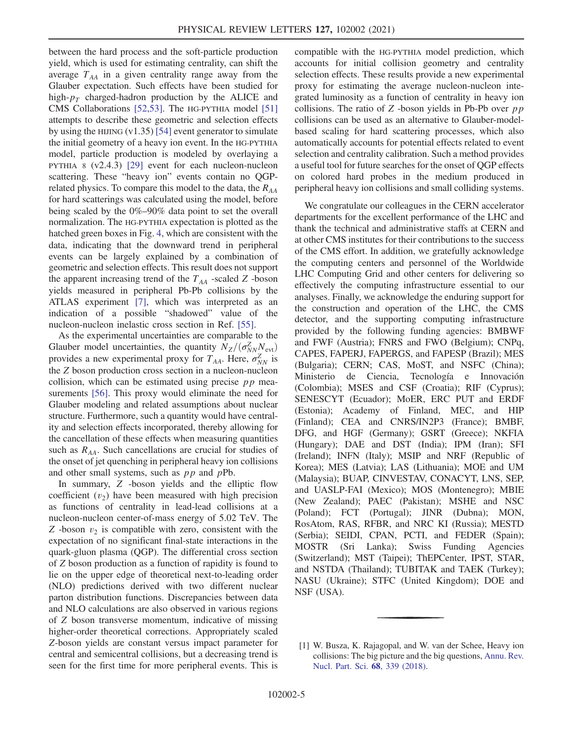between the hard process and the soft-particle production yield, which is used for estimating centrality, can shift the average  $T_{AA}$  in a given centrality range away from the Glauber expectation. Such effects have been studied for high- $p_T$  charged-hadron production by the ALICE and CMS Collaborations [\[52,53\].](#page-6-13) The HG-PYTHIA model [\[51\]](#page-6-12) attempts to describe these geometric and selection effects by using the HIJING (v1.35) [\[54\]](#page-6-14) event generator to simulate the initial geometry of a heavy ion event. In the HG-PYTHIA model, particle production is modeled by overlaying a PYTHIA 8 (v2.4.3) [\[29\]](#page-5-16) event for each nucleon-nucleon scattering. These "heavy ion" events contain no QGPrelated physics. To compare this model to the data, the  $R_{AA}$ for hard scatterings was calculated using the model, before being scaled by the 0%–90% data point to set the overall normalization. The HG-PYTHIA expectation is plotted as the hatched green boxes in Fig. [4,](#page-3-2) which are consistent with the data, indicating that the downward trend in peripheral events can be largely explained by a combination of geometric and selection effects. This result does not support the apparent increasing trend of the  $T_{AA}$  -scaled Z -boson yields measured in peripheral Pb-Pb collisions by the ATLAS experiment [\[7\]](#page-5-25), which was interpreted as an indication of a possible "shadowed" value of the nucleon-nucleon inelastic cross section in Ref. [\[55\]](#page-6-15).

As the experimental uncertainties are comparable to the Glauber model uncertainties, the quantity  $N_Z/(\sigma_{NN_{\text{c}}/N_{\text{c}}^{2}W})$ provides a new experimental proxy for  $T_{AA}$ . Here,  $\sigma_{NN}^Z$  is the Z boson production cross section in a nucleon-nucleon collision, which can be estimated using precise  $pp$  measurements [\[56\]](#page-6-16). This proxy would eliminate the need for Glauber modeling and related assumptions about nuclear structure. Furthermore, such a quantity would have centrality and selection effects incorporated, thereby allowing for the cancellation of these effects when measuring quantities such as  $R_{AA}$ . Such cancellations are crucial for studies of the onset of jet quenching in peripheral heavy ion collisions and other small systems, such as  $pp$  and  $pPb$ .

In summary, Z -boson yields and the elliptic flow coefficient  $(v_2)$  have been measured with high precision as functions of centrality in lead-lead collisions at a nucleon-nucleon center-of-mass energy of 5.02 TeV. The Z -boson  $v_2$  is compatible with zero, consistent with the expectation of no significant final-state interactions in the quark-gluon plasma (QGP). The differential cross section of Z boson production as a function of rapidity is found to lie on the upper edge of theoretical next-to-leading order (NLO) predictions derived with two different nuclear parton distribution functions. Discrepancies between data and NLO calculations are also observed in various regions of Z boson transverse momentum, indicative of missing higher-order theoretical corrections. Appropriately scaled Z-boson yields are constant versus impact parameter for central and semicentral collisions, but a decreasing trend is seen for the first time for more peripheral events. This is compatible with the HG-PYTHIA model prediction, which accounts for initial collision geometry and centrality selection effects. These results provide a new experimental proxy for estimating the average nucleon-nucleon integrated luminosity as a function of centrality in heavy ion collisions. The ratio of  $Z$  -boson yields in Pb-Pb over  $pp$ collisions can be used as an alternative to Glauber-modelbased scaling for hard scattering processes, which also automatically accounts for potential effects related to event selection and centrality calibration. Such a method provides a useful tool for future searches for the onset of QGP effects on colored hard probes in the medium produced in peripheral heavy ion collisions and small colliding systems.

We congratulate our colleagues in the CERN accelerator departments for the excellent performance of the LHC and thank the technical and administrative staffs at CERN and at other CMS institutes for their contributions to the success of the CMS effort. In addition, we gratefully acknowledge the computing centers and personnel of the Worldwide LHC Computing Grid and other centers for delivering so effectively the computing infrastructure essential to our analyses. Finally, we acknowledge the enduring support for the construction and operation of the LHC, the CMS detector, and the supporting computing infrastructure provided by the following funding agencies: BMBWF and FWF (Austria); FNRS and FWO (Belgium); CNPq, CAPES, FAPERJ, FAPERGS, and FAPESP (Brazil); MES (Bulgaria); CERN; CAS, MoST, and NSFC (China); Ministerio de Ciencia, Tecnología e Innovación (Colombia); MSES and CSF (Croatia); RIF (Cyprus); SENESCYT (Ecuador); MoER, ERC PUT and ERDF (Estonia); Academy of Finland, MEC, and HIP (Finland); CEA and CNRS/IN2P3 (France); BMBF, DFG, and HGF (Germany); GSRT (Greece); NKFIA (Hungary); DAE and DST (India); IPM (Iran); SFI (Ireland); INFN (Italy); MSIP and NRF (Republic of Korea); MES (Latvia); LAS (Lithuania); MOE and UM (Malaysia); BUAP, CINVESTAV, CONACYT, LNS, SEP, and UASLP-FAI (Mexico); MOS (Montenegro); MBIE (New Zealand); PAEC (Pakistan); MSHE and NSC (Poland); FCT (Portugal); JINR (Dubna); MON, RosAtom, RAS, RFBR, and NRC KI (Russia); MESTD (Serbia); SEIDI, CPAN, PCTI, and FEDER (Spain); MOSTR (Sri Lanka); Swiss Funding Agencies (Switzerland); MST (Taipei); ThEPCenter, IPST, STAR, and NSTDA (Thailand); TUBITAK and TAEK (Turkey); NASU (Ukraine); STFC (United Kingdom); DOE and NSF (USA).

<span id="page-4-0"></span><sup>[1]</sup> W. Busza, K. Rajagopal, and W. van der Schee, Heavy ion collisions: The big picture and the big questions, [Annu. Rev.](https://doi.org/10.1146/annurev-nucl-101917-020852) [Nucl. Part. Sci.](https://doi.org/10.1146/annurev-nucl-101917-020852) 68, 339 (2018).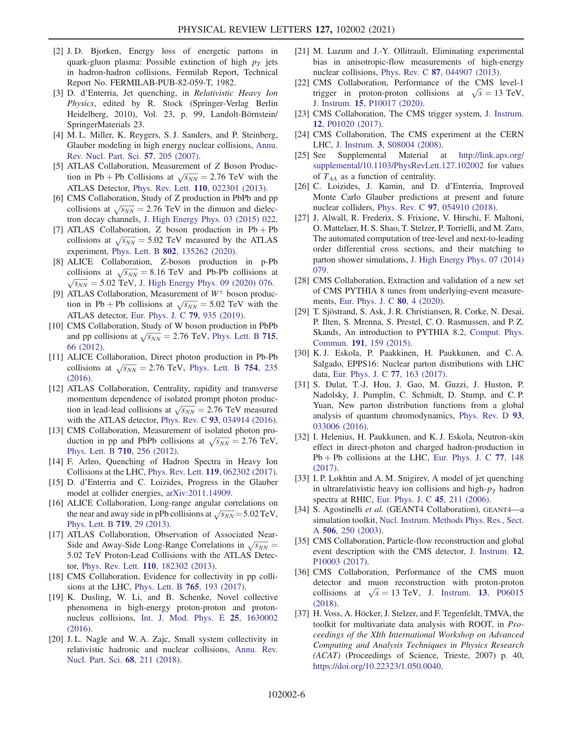- <span id="page-5-0"></span>[2] J. D. Bjorken, Energy loss of energetic partons in quark-gluon plasma: Possible extinction of high  $p<sub>T</sub>$  jets in hadron-hadron collisions, Fermilab Report, Technical Report No. FERMILAB-PUB-82-059-T, 1982.
- <span id="page-5-1"></span>[3] D. d'Enterria, Jet quenching, in Relativistic Heavy Ion Physics, edited by R. Stock (Springer-Verlag Berlin Heidelberg, 2010), Vol. 23, p. 99, Landolt-Börnstein/ SpringerMaterials 23.
- <span id="page-5-2"></span>[4] M. L. Miller, K. Reygers, S. J. Sanders, and P. Steinberg, Glauber modeling in high energy nuclear collisions, [Annu.](https://doi.org/10.1146/annurev.nucl.57.090506.123020) [Rev. Nucl. Part. Sci.](https://doi.org/10.1146/annurev.nucl.57.090506.123020) 57, 205 (2007).
- <span id="page-5-3"></span>[5] ATLAS Collaboration, Measurement of Z Boson Produc-ATLAS Collaboration, Measurement of Z Boson Production in Pb + Pb Collisions at  $\sqrt{s_{NN}} = 2.76$  TeV with the ATLAS Detector, Phys. Rev. Lett. 110[, 022301 \(2013\)](https://doi.org/10.1103/PhysRevLett.110.022301).
- [6] CMS Collaboration, Study of Z production in PbPb and pp CMS Conaboration, study or *Z* production in PDPb and pp<br>collisions at  $\sqrt{s_{NN}} = 2.76$  TeV in the dimuon and dielectron decay channels, [J. High Energy Phys. 03 \(2015\) 022.](https://doi.org/10.1007/JHEP03(2015)022)
- <span id="page-5-25"></span>[7] ATLAS Collaboration, Z boson production in  $Pb + Pb$ ATLAS Collaboration, Z boson production in Pb + Pb<br>collisions at  $\sqrt{s_{NN}}$  = 5.02 TeV measured by the ATLAS experiment, Phys. Lett. B 802[, 135262 \(2020\)](https://doi.org/10.1016/j.physletb.2020.135262).
- [8] ALICE Collaboration, Z-boson production in p-Pb ALICE Collaboration, Z-boson production in p-Pb collisions at  $\sqrt{s_{NN}} = 8.16$  TeV and Pb-Pb collisions at  $\sqrt{s_{NN}}$  = 5.02 TeV, [J. High Energy Phys. 09 \(2020\) 076.](https://doi.org/10.1007/JHEP09(2020)076)
- <span id="page-5-4"></span>[9] ATLAS Collaboration, Measurement of  $W^{\pm}$  boson produc-ATLAS Collaboration, Measurement of  $W^{\perp}$  boson production in Pb + Pb collisions at  $\sqrt{s_{NN}} = 5.02$  TeV with the ATLAS detector, [Eur. Phys. J. C](https://doi.org/10.1140/epjc/s10052-019-7439-3) 79, 935 (2019).
- [10] CMS Collaboration, Study of W boson production in PbPb CMS Conaboration, study or w boson production in PbPb and pp collisions at  $\sqrt{s_{NN}}$  = 2.76 TeV, [Phys. Lett. B](https://doi.org/10.1016/j.physletb.2012.07.025) 715, [66 \(2012\).](https://doi.org/10.1016/j.physletb.2012.07.025)
- <span id="page-5-5"></span>[11] ALICE Collaboration, Direct photon production in Pb-Pb ALICE Collaboration, Direct photon production in Pb-Pb collisions at  $\sqrt{s_{NN}}$  = 2.76 TeV, [Phys. Lett. B](https://doi.org/10.1016/j.physletb.2016.01.020) 754, 235 [\(2016\).](https://doi.org/10.1016/j.physletb.2016.01.020)
- [12] ATLAS Collaboration, Centrality, rapidity and transverse momentum dependence of isolated prompt photon producmomentum dependence or isolated prompt photon production in lead-lead collisions at  $\sqrt{s_{NN}} = 2.76$  TeV measured with the ATLAS detector, Phys. Rev. C 93[, 034914 \(2016\).](https://doi.org/10.1103/PhysRevC.93.034914)
- [13] CMS Collaboration, Measurement of isolated photon pro-CMS Collaboration, Measurement or isolated photon production in pp and PbPb collisions at  $\sqrt{s_{NN}} = 2.76$  TeV, [Phys. Lett. B](https://doi.org/10.1016/j.physletb.2012.02.077) 710, 256 (2012).
- <span id="page-5-7"></span><span id="page-5-6"></span>[14] F. Arleo, Quenching of Hadron Spectra in Heavy Ion Collisions at the LHC, Phys. Rev. Lett. 119[, 062302 \(2017\).](https://doi.org/10.1103/PhysRevLett.119.062302)
- <span id="page-5-8"></span>[15] D. d'Enterria and C. Loizides, Progress in the Glauber model at collider energies, [arXiv:2011.14909.](https://arXiv.org/abs/2011.14909)
- [16] ALICE Collaboration, Long-range angular correlations on ALICE Conflation, Long-range angular correlations on the near and away side in pPb collisions at  $\sqrt{s_{NN}}$  = 5.02 TeV, [Phys. Lett. B](https://doi.org/10.1016/j.physletb.2013.01.012) 719, 29 (2013).
- [17] ATLAS Collaboration, Observation of Associated Near-ATLAS Collaboration, Observation of Associated Near-<br>Side and Away-Side Long-Range Correlations in  $\sqrt{s_{NN}}$  = 5.02 TeV Proton-Lead Collisions with the ATLAS Detector, Phys. Rev. Lett. 110[, 182302 \(2013\).](https://doi.org/10.1103/PhysRevLett.110.182302)
- [18] CMS Collaboration, Evidence for collectivity in pp collisions at the LHC, [Phys. Lett. B](https://doi.org/10.1016/j.physletb.2016.12.009) 765, 193 (2017).
- [19] K. Dusling, W. Li, and B. Schenke, Novel collective phenomena in high-energy proton-proton and protonnucleus collisions, [Int. J. Mod. Phys. E](https://doi.org/10.1142/S0218301316300022) 25, 1630002 [\(2016\).](https://doi.org/10.1142/S0218301316300022)
- [20] J.L. Nagle and W.A. Zajc, Small system collectivity in relativistic hadronic and nuclear collisions, [Annu. Rev.](https://doi.org/10.1146/annurev-nucl-101916-123209) [Nucl. Part. Sci.](https://doi.org/10.1146/annurev-nucl-101916-123209) 68, 211 (2018).
- <span id="page-5-9"></span>[21] M. Luzum and J.-Y. Ollitrault, Eliminating experimental bias in anisotropic-flow measurements of high-energy nuclear collisions, Phys. Rev. C 87[, 044907 \(2013\).](https://doi.org/10.1103/PhysRevC.87.044907)
- <span id="page-5-10"></span>[22] CMS Collaboration, Performance of the CMS level-1 CMS Collaboration, Performance of the CMS level-1 trigger in proton-proton collisions at  $\sqrt{s} = 13$  TeV, J. Instrum. 15[, P10017 \(2020\).](https://doi.org/10.1088/1748-0221/15/10/P10017)
- [23] CMS Collaboration, The CMS trigger system, [J. Instrum.](https://doi.org/10.1088/1748-0221/12/01/P01020) 12[, P01020 \(2017\)](https://doi.org/10.1088/1748-0221/12/01/P01020).
- <span id="page-5-11"></span>[24] CMS Collaboration, The CMS experiment at the CERN LHC, J. Instrum. 3[, S08004 \(2008\).](https://doi.org/10.1088/1748-0221/3/08/S08004)
- <span id="page-5-12"></span>[25] See Supplemental Material at [http://link.aps.org/](http://link.aps.org/supplemental/10.1103/PhysRevLett.127.102002) [supplemental/10.1103/PhysRevLett.127.102002](http://link.aps.org/supplemental/10.1103/PhysRevLett.127.102002) for values of  $T_{AA}$  as a function of centrality.
- <span id="page-5-13"></span>[26] C. Loizides, J. Kamin, and D. d'Enterria, Improved Monte Carlo Glauber predictions at present and future nuclear colliders, Phys. Rev. C 97[, 054910 \(2018\).](https://doi.org/10.1103/PhysRevC.97.054910)
- <span id="page-5-14"></span>[27] J. Alwall, R. Frederix, S. Frixione, V. Hirschi, F. Maltoni, O. Mattelaer, H. S. Shao, T. Stelzer, P. Torrielli, and M. Zaro, The automated computation of tree-level and next-to-leading order differential cross sections, and their matching to parton shower simulations, [J. High Energy Phys. 07 \(2014\)](https://doi.org/10.1007/JHEP07(2014)079) [079.](https://doi.org/10.1007/JHEP07(2014)079)
- <span id="page-5-15"></span>[28] CMS Collaboration, Extraction and validation of a new set of CMS PYTHIA 8 tunes from underlying-event measurements, [Eur. Phys. J. C](https://doi.org/10.1140/epjc/s10052-019-7499-4) 80, 4 (2020).
- <span id="page-5-16"></span>[29] T. Sjöstrand, S. Ask, J. R. Christiansen, R. Corke, N. Desai, P. Ilten, S. Mrenna, S. Prestel, C. O. Rasmussen, and P. Z. Skands, An introduction to PYTHIA 8.2, [Comput. Phys.](https://doi.org/10.1016/j.cpc.2015.01.024) Commun. 191[, 159 \(2015\)](https://doi.org/10.1016/j.cpc.2015.01.024).
- <span id="page-5-17"></span>[30] K. J. Eskola, P. Paakkinen, H. Paukkunen, and C. A. Salgado, EPPS16: Nuclear parton distributions with LHC data, [Eur. Phys. J. C](https://doi.org/10.1140/epjc/s10052-017-4725-9) 77, 163 (2017).
- <span id="page-5-18"></span>[31] S. Dulat, T.-J. Hou, J. Gao, M. Guzzi, J. Huston, P. Nadolsky, J. Pumplin, C. Schmidt, D. Stump, and C. P. Yuan, New parton distribution functions from a global analysis of quantum chromodynamics, [Phys. Rev. D](https://doi.org/10.1103/PhysRevD.93.033006) 93, [033006 \(2016\).](https://doi.org/10.1103/PhysRevD.93.033006)
- <span id="page-5-19"></span>[32] I. Helenius, H. Paukkunen, and K. J. Eskola, Neutron-skin effect in direct-photon and charged hadron-production in  $Pb + Pb$  collisions at the LHC, [Eur. Phys. J. C](https://doi.org/10.1140/epjc/s10052-017-4709-9) 77, 148 [\(2017\).](https://doi.org/10.1140/epjc/s10052-017-4709-9)
- <span id="page-5-20"></span>[33] I. P. Lokhtin and A. M. Snigirev, A model of jet quenching in ultrarelativistic heavy ion collisions and high- $p<sub>T</sub>$  hadron spectra at RHIC, [Eur. Phys. J. C](https://doi.org/10.1140/epjc/s2005-02426-3) 45, 211 (2006).
- <span id="page-5-21"></span>[34] S. Agostinelli et al. (GEANT4 Collaboration), GEANT4-a simulation toolkit, [Nucl. Instrum. Methods Phys. Res., Sect.](https://doi.org/10.1016/S0168-9002(03)01368-8) A 506[, 250 \(2003\).](https://doi.org/10.1016/S0168-9002(03)01368-8)
- <span id="page-5-22"></span>[35] CMS Collaboration, Particle-flow reconstruction and global event description with the CMS detector, [J. Instrum.](https://doi.org/10.1088/1748-0221/12/10/P10003) 12, [P10003 \(2017\)](https://doi.org/10.1088/1748-0221/12/10/P10003).
- <span id="page-5-23"></span>[36] CMS Collaboration, Performance of the CMS muon detector and muon reconstruction with proton-proton detector and muon reconstruction with proton-proton collisions at  $\sqrt{s} = 13 \text{ TeV}$ , [J. Instrum.](https://doi.org/10.1088/1748-0221/13/06/P06015) 13, P06015 [\(2018\).](https://doi.org/10.1088/1748-0221/13/06/P06015)
- <span id="page-5-24"></span>[37] H. Voss, A. Höcker, J. Stelzer, and F. Tegenfeldt, TMVA, the toolkit for multivariate data analysis with ROOT, in Proceedings of the XIth International Workshop on Advanced Computing and Analysis Techniques in Physics Research (ACAT) (Proceedings of Science, Trieste, 2007) p. 40, <https://doi.org/10.22323/1.050.0040>.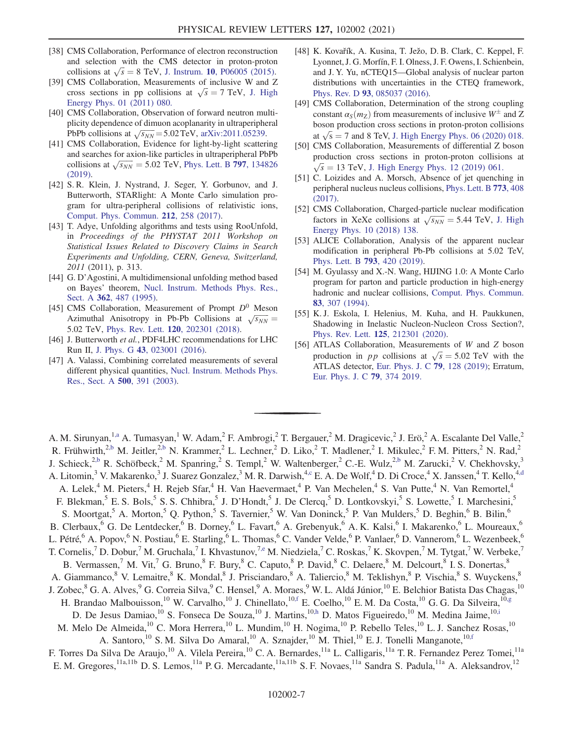- <span id="page-6-0"></span>[38] CMS Collaboration, Performance of electron reconstruction and selection with the CMS detector in proton-proton and selection with the CMS detector in proton-proton collisions at  $\sqrt{s} = 8$  TeV, J. Instrum. 10[, P06005 \(2015\)](https://doi.org/10.1088/1748-0221/10/06/P06005).
- <span id="page-6-1"></span>[39] CMS Collaboration, Measurements of inclusive W and Z CMS Collaboration, Measurements of inclusive W and Z<br>cross sections in pp collisions at  $\sqrt{s} = 7$  TeV, [J. High](https://doi.org/10.1007/JHEP01(2011)080) [Energy Phys. 01 \(2011\) 080.](https://doi.org/10.1007/JHEP01(2011)080)
- <span id="page-6-2"></span>[40] CMS Collaboration, Observation of forward neutron multiplicity dependence of dimuon acoplanarity in ultraperipheral plicity dependence of dimuon acopianarity in ultraperiphe<br>PbPb collisions at  $\sqrt{s_{NN}}$  = 5.02 TeV, [arXiv:2011.05239](https://arXiv.org/abs/2011.05239).
- <span id="page-6-3"></span>[41] CMS Collaboration, Evidence for light-by-light scattering and searches for axion-like particles in ultraperipheral PbPb and searches for axion-like particles in ultraperipheral PbPb<br>collisions at  $\sqrt{s_{NN}}$  = 5.02 TeV, [Phys. Lett. B](https://doi.org/10.1016/j.physletb.2019.134826) 797, 134826 [\(2019\).](https://doi.org/10.1016/j.physletb.2019.134826)
- <span id="page-6-4"></span>[42] S. R. Klein, J. Nystrand, J. Seger, Y. Gorbunov, and J. Butterworth, STARlight: A Monte Carlo simulation program for ultra-peripheral collisions of relativistic ions, [Comput. Phys. Commun.](https://doi.org/10.1016/j.cpc.2016.10.016) 212, 258 (2017).
- <span id="page-6-5"></span>[43] T. Adye, Unfolding algorithms and tests using RooUnfold, in Proceedings of the PHYSTAT 2011 Workshop on Statistical Issues Related to Discovery Claims in Search Experiments and Unfolding, CERN, Geneva, Switzerland, 2011 (2011), p. 313.
- <span id="page-6-6"></span>[44] G. D'Agostini, A multidimensional unfolding method based on Bayes' theorem, [Nucl. Instrum. Methods Phys. Res.,](https://doi.org/10.1016/0168-9002(95)00274-X) Sect. A 362[, 487 \(1995\)](https://doi.org/10.1016/0168-9002(95)00274-X).
- [45] CMS Collaboration, Measurement of Prompt  $D^0$  Meson CMS Collaboration, Measurement of Prompt  $D^{\circ}$  Meson<br>Azimuthal Anisotropy in Pb-Pb Collisions at  $\sqrt{s_{NN}} =$ 5.02 TeV, Phys. Rev. Lett. 120[, 202301 \(2018\)](https://doi.org/10.1103/PhysRevLett.120.202301).
- <span id="page-6-7"></span>[46] J. Butterworth et al., PDF4LHC recommendations for LHC Run II, J. Phys. G 43[, 023001 \(2016\).](https://doi.org/10.1088/0954-3899/43/2/023001)
- <span id="page-6-8"></span>[47] A. Valassi, Combining correlated measurements of several different physical quantities, [Nucl. Instrum. Methods Phys.](https://doi.org/10.1016/S0168-9002(03)00329-2) [Res., Sect. A](https://doi.org/10.1016/S0168-9002(03)00329-2) 500, 391 (2003).
- <span id="page-6-9"></span>[48] K. Kovařík, A. Kusina, T. Ježo, D. B. Clark, C. Keppel, F. Lyonnet, J. G. Morfín, F. I. Olness, J. F. Owens, I. Schienbein, and J. Y. Yu, nCTEQ15—Global analysis of nuclear parton distributions with uncertainties in the CTEQ framework, Phys. Rev. D 93[, 085037 \(2016\).](https://doi.org/10.1103/PhysRevD.93.085037)
- <span id="page-6-10"></span>[49] CMS Collaboration, Determination of the strong coupling constant  $\alpha_S(m_Z)$  from measurements of inclusive  $W^{\pm}$  and Z boson production cross sections in proton-proton collisions boson production cross sections in proton-proton collisions<br>at  $\sqrt{s} = 7$  and 8 TeV, [J. High Energy Phys. 06 \(2020\) 018.](https://doi.org/10.1007/JHEP06(2020)018)
- <span id="page-6-11"></span>[50] CMS Collaboration, Measurements of differential Z boson production cross sections in proton-proton collisions at  $\sqrt{s}$  = 13 TeV, [J. High Energy Phys. 12 \(2019\) 061.](https://doi.org/10.1007/JHEP12(2019)061)
- <span id="page-6-12"></span>[51] C. Loizides and A. Morsch, Absence of jet quenching in peripheral nucleus nucleus collisions, [Phys. Lett. B](https://doi.org/10.1016/j.physletb.2017.09.002) 773, 408 [\(2017\).](https://doi.org/10.1016/j.physletb.2017.09.002)
- <span id="page-6-13"></span>[52] CMS Collaboration, Charged-particle nuclear modification EXECUTE CONSIDERATION CONSIDER THE EXECUTE THE SECTOR SECTOR SECTOR SECTOR SECTOR SECTOR SECTOR SECTOR SECTOR SECTOR SECTOR SECTOR SECTOR SECTOR SECTOR SECTOR SECTOR SECTOR SECTOR SECTOR SECTOR SECTOR SECTOR SECTOR SECTOR [Energy Phys. 10 \(2018\) 138.](https://doi.org/10.1007/JHEP10(2018)138)
- [53] ALICE Collaboration, Analysis of the apparent nuclear modification in peripheral Pb-Pb collisions at 5.02 TeV, [Phys. Lett. B](https://doi.org/10.1016/j.physletb.2019.04.047) 793, 420 (2019).
- <span id="page-6-14"></span>[54] M. Gyulassy and X.-N. Wang, HIJING 1.0: A Monte Carlo program for parton and particle production in high-energy hadronic and nuclear collisions, [Comput. Phys. Commun.](https://doi.org/10.1016/0010-4655(94)90057-4) 83[, 307 \(1994\).](https://doi.org/10.1016/0010-4655(94)90057-4)
- <span id="page-6-15"></span>[55] K. J. Eskola, I. Helenius, M. Kuha, and H. Paukkunen, Shadowing in Inelastic Nucleon-Nucleon Cross Section?, Phys. Rev. Lett. 125[, 212301 \(2020\).](https://doi.org/10.1103/PhysRevLett.125.212301)
- <span id="page-6-16"></span>[56] ATLAS Collaboration, Measurements of W and Z boson ATLAS Collaboration, Measurements of *W* and *Z* boson<br>production in *pp* collisions at  $\sqrt{s} = 5.02$  TeV with the ATLAS detector, [Eur. Phys. J. C](https://doi.org/10.1140/epjc/s10052-019-6622-x) 79, 128 (2019); Erratum, [Eur. Phys. J. C](https://doi.org/10.1140/epjc/s10052-019-6870-9) 79, 374 2019.

<span id="page-6-23"></span><span id="page-6-22"></span><span id="page-6-21"></span><span id="page-6-20"></span><span id="page-6-19"></span><span id="page-6-18"></span><span id="page-6-17"></span>A. M. Sirunyan,<sup>1[,a](#page-17-0)</sup> A. Tumasyan,<sup>1</sup> W. Adam,<sup>2</sup> F. Ambrogi,<sup>2</sup> T. Bergauer,<sup>2</sup> M. Dragicevic,<sup>2</sup> J. Erö,<sup>2</sup> A. Escalante Del Valle,<sup>2</sup> R. Frühwirth,<sup>[2,b](#page-17-1)</sup> M. Jeitler,<sup>2[,b](#page-17-1)</sup> N. Krammer,<sup>2</sup> L. Lechner,<sup>2</sup> D. Liko,<sup>2</sup> T. Madlener,<sup>2</sup> I. Mikulec,<sup>2</sup> F. M. Pitters,<sup>2</sup> N. Rad,<sup>2</sup> J. Schieck,<sup>2[,b](#page-17-1)</sup> R. Schöfbeck,<sup>2</sup> M. Spanring,<sup>2</sup> S. Templ,<sup>2</sup> W. Waltenberger,<sup>2</sup> C.-E. Wulz,<sup>[2,b](#page-17-1)</sup> M. Zarucki,<sup>2</sup> V. Chekhovsky,<sup>3</sup> A. Litomin,<sup>3</sup> V. Makarenko,<sup>3</sup> J. Suarez Gonzalez,<sup>3</sup> M. R. Darwish,<sup>4[,c](#page-17-2)</sup> E. A. De Wolf,<sup>4</sup> D. Di Croce,<sup>4</sup> X. Janssen,<sup>4</sup> T. Kello,<sup>4[,d](#page-17-3)</sup> A. Lelek,<sup>4</sup> M. Pieters,<sup>4</sup> H. Rejeb Sfar,<sup>4</sup> H. Van Haevermaet,<sup>4</sup> P. Van Mechelen,<sup>4</sup> S. Van Putte,<sup>4</sup> N. Van Remortel,<sup>4</sup> F. Blekman,<sup>5</sup> E. S. Bols,<sup>5</sup> S. S. Chhibra,<sup>5</sup> J. D'Hondt,<sup>5</sup> J. De Clercq,<sup>5</sup> D. Lontkovskyi,<sup>5</sup> S. Lowette,<sup>5</sup> I. Marchesini,<sup>5</sup> S. Moortgat,<sup>5</sup> A. Morton,<sup>5</sup> Q. Python,<sup>5</sup> S. Tavernier,<sup>5</sup> W. Van Doninck,<sup>5</sup> P. Van Mulders,<sup>5</sup> D. Beghin,<sup>6</sup> B. Bilin,<sup>6</sup> B. Clerbaux, <sup>6</sup> G. De Lentdecker, <sup>6</sup> B. Dorney, <sup>6</sup> L. Favart, <sup>6</sup> A. Grebenyuk, <sup>6</sup> A. K. Kalsi, <sup>6</sup> I. Makarenko, <sup>6</sup> L. Moureaux, <sup>6</sup> L. Pétré, <sup>6</sup> A. Popov, <sup>6</sup> N. Postiau, <sup>6</sup> E. Starling, <sup>6</sup> L. Thomas, <sup>6</sup> C. Vander Velde, <sup>6</sup> P. Vanlaer, <sup>6</sup> D. Vannerom, <sup>6</sup> L. Wezenbeek, <sup>6</sup> T. Cornelis,<sup>7</sup> D. Dobur,<sup>7</sup> M. Gruchala,<sup>7</sup> I. Khvastunov,<sup>7[,e](#page-17-4)</sup> M. Niedziela,<sup>7</sup> C. Roskas,<sup>7</sup> K. Skovpen,<sup>7</sup> M. Tytgat,<sup>7</sup> W. Verbeke,<sup>7</sup> B. Vermassen,<sup>7</sup> M. Vit,<sup>7</sup> G. Bruno,<sup>8</sup> F. Bury,<sup>8</sup> C. Caputo,<sup>8</sup> P. David,<sup>8</sup> C. Delaere,<sup>8</sup> M. Delcourt,<sup>8</sup> I. S. Donertas,<sup>8</sup> A. Giammanco,<sup>8</sup> V. Lemaitre,<sup>8</sup> K. Mondal,<sup>8</sup> J. Prisciandaro,<sup>8</sup> A. Taliercio,<sup>8</sup> M. Teklishyn,<sup>8</sup> P. Vischia,<sup>8</sup> S. Wuyckens,<sup>8</sup> J. Zobec, <sup>8</sup> G. A. Alves, <sup>9</sup> G. Correia Silva, <sup>9</sup> C. Hensel, <sup>9</sup> A. Moraes, <sup>9</sup> W. L. Aldá Júnior, <sup>10</sup> E. Belchior Batista Das Chagas, <sup>10</sup> H. Brandao Malbouisson,<sup>10</sup> W. Carvalho,<sup>10</sup> J. Chinellato,<sup>10[,f](#page-17-5)</sup> E. Coelho,<sup>10</sup> E.M. Da Costa,<sup>10</sup> G.G. Da Silveira,<sup>10[,g](#page-17-6)</sup> D. De Jesus Damiao,<sup>10</sup> S. Fonseca De Souza,<sup>10</sup> J. Martins,<sup>1[0,h](#page-17-7)</sup> D. Matos Figueiredo,<sup>10</sup> M. Medina Jaime,<sup>10[,i](#page-17-8)</sup> M. Melo De Almeida,<sup>10</sup> C. Mora Herrera,<sup>10</sup> L. Mundim,<sup>10</sup> H. Nogima,<sup>10</sup> P. Rebello Teles,<sup>10</sup> L. J. Sanchez Rosas,<sup>10</sup> A. Santoro,<sup>10</sup> S. M. Silva Do Amaral,<sup>10</sup> A. Sznajder,<sup>10</sup> M. Thiel,<sup>10</sup> E. J. Tonelli Manganote,<sup>10[,f](#page-17-5)</sup> F. Torres Da Silva De Araujo,<sup>10</sup> A. Vilela Pereira,<sup>10</sup> C. A. Bernardes,<sup>11a</sup> L. Calligaris,<sup>11a</sup> T. R. Fernandez Perez Tomei,<sup>11a</sup> E. M. Gregores,<sup>11a,11b</sup> D. S. Lemos,<sup>11a</sup> P. G. Mercadante,<sup>11a,11b</sup> S. F. Novaes,<sup>11a</sup> Sandra S. Padula,<sup>11a</sup> A. Aleksandrov,<sup>12</sup>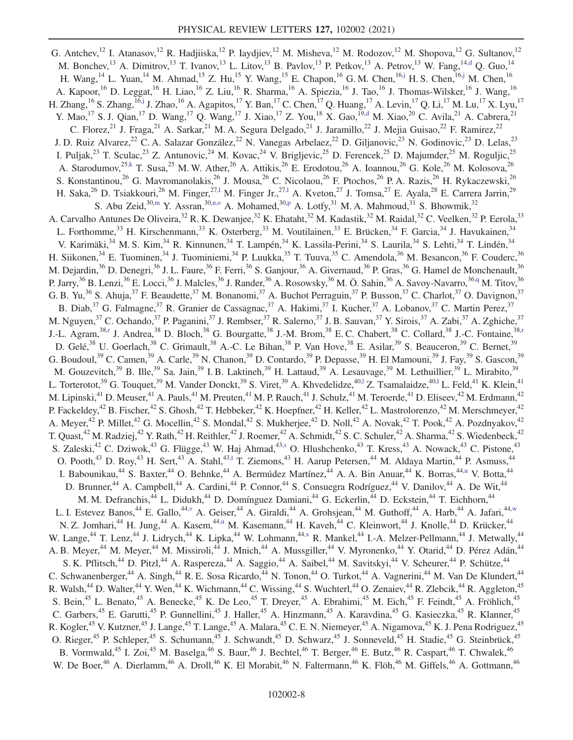<span id="page-7-10"></span><span id="page-7-9"></span><span id="page-7-8"></span><span id="page-7-7"></span><span id="page-7-6"></span><span id="page-7-5"></span><span id="page-7-4"></span><span id="page-7-3"></span><span id="page-7-2"></span><span id="page-7-1"></span><span id="page-7-0"></span>G. Antchev,<sup>12</sup> I. Atanasov,<sup>12</sup> R. Hadjiiska,<sup>12</sup> P. Iaydjiev,<sup>12</sup> M. Misheva,<sup>12</sup> M. Rodozov,<sup>12</sup> M. Shopova,<sup>12</sup> G. Sultanov,<sup>12</sup> M. Bonchev,<sup>13</sup> A. Dimitrov,<sup>13</sup> T. Ivanov,<sup>13</sup> L. Litov,<sup>13</sup> B. Pavlov,<sup>13</sup> P. Petkov,<sup>13</sup> A. Petrov,<sup>13</sup> W. Fang,<sup>1[4,d](#page-17-3)</sup> Q. Guo,<sup>14</sup> H. Wang,<sup>14</sup> L. Yuan,<sup>14</sup> M. Ahmad,<sup>15</sup> Z. Hu,<sup>15</sup> Y. Wang,<sup>15</sup> E. Chapon,<sup>16</sup> G. M. Chen,<sup>16[,j](#page-17-9)</sup> H. S. Chen,<sup>1[6,j](#page-17-9)</sup> M. Chen,<sup>16</sup> A. Kapoor,<sup>16</sup> D. Leggat,<sup>16</sup> H. Liao,<sup>16</sup> Z. Liu,<sup>16</sup> R. Sharma,<sup>16</sup> A. Spiezia,<sup>16</sup> J. Tao,<sup>16</sup> J. Thomas-Wilsker,<sup>16</sup> J. Wang,<sup>16</sup> H. Zhang, <sup>16</sup> S. Zhang, <sup>16[,j](#page-17-9)</sup> J. Zhao, <sup>16</sup> A. Agapitos, <sup>17</sup> Y. Ban, <sup>17</sup> C. Chen, <sup>17</sup> Q. Huang, <sup>17</sup> A. Levin, <sup>17</sup> Q. Li, <sup>17</sup> M. Lu, <sup>17</sup> X. Lyu, <sup>17</sup> Y. Mao,<sup>17</sup> S. J. Qian,<sup>17</sup> D. Wang,<sup>17</sup> Q. Wang,<sup>17</sup> J. Xiao,<sup>17</sup> Z. You,<sup>18</sup> X. Gao,<sup>1[9,d](#page-17-3)</sup> M. Xiao,<sup>20</sup> C. Avila,<sup>21</sup> A. Cabrera,<sup>21</sup> C. Florez,<sup>21</sup> J. Fraga,<sup>21</sup> A. Sarkar,<sup>21</sup> M. A. Segura Delgado,<sup>21</sup> J. Jaramillo,<sup>22</sup> J. Mejia Guisao,<sup>22</sup> F. Ramirez,<sup>22</sup> J. D. Ruiz Alvarez,<sup>22</sup> C. A. Salazar González,<sup>22</sup> N. Vanegas Arbelaez,<sup>22</sup> D. Giljanovic,<sup>23</sup> N. Godinovic,<sup>23</sup> D. Lelas,<sup>23</sup> I. Puljak,<sup>23</sup> T. Sculac,<sup>23</sup> Z. Antunovic,<sup>24</sup> M. Kovac,<sup>24</sup> V. Brigljevic,<sup>25</sup> D. Ferencek,<sup>25</sup> D. Majumder,<sup>25</sup> M. Roguljic,<sup>25</sup> A. Starodumov,<sup>2[5,k](#page-17-10)</sup> T. Susa,<sup>25</sup> M. W. Ather,<sup>26</sup> A. Attikis,<sup>26</sup> E. Erodotou,<sup>26</sup> A. Ioannou,<sup>26</sup> G. Kole,<sup>26</sup> M. Kolosova,<sup>26</sup> S. Konstantinou,<sup>26</sup> G. Mavromanolakis,<sup>26</sup> J. Mousa,<sup>26</sup> C. Nicolaou,<sup>26</sup> F. Ptochos,<sup>26</sup> P. A. Razis,<sup>26</sup> H. Rykaczewski,<sup>26</sup> H. Saka,<sup>26</sup> D. Tsiakkouri,<sup>26</sup> M. Finger,<sup>27,1</sup> M. Finger Jr.,<sup>27,1</sup> A. Kveton,<sup>27</sup> J. Tomsa,<sup>27</sup> E. Ayala,<sup>28</sup> E. Carrera Jarrin,<sup>29</sup> S. Abu Zeid, $30,\text{m}$  Y. Assran, $30,\text{m}$ , A. Mohamed, $30,\text{p}$  A. Lotfy, $31$  M. A. Mahmoud, $31$  S. Bhowmik,  $32$ A. Carvalho Antunes De Oliveira,<sup>32</sup> R. K. Dewanjee,<sup>32</sup> K. Ehataht,<sup>32</sup> M. Kadastik,<sup>32</sup> M. Raidal,<sup>32</sup> C. Veelken,<sup>32</sup> P. Eerola,<sup>33</sup> L. Forthomme,<sup>33</sup> H. Kirschenmann,<sup>33</sup> K. Osterberg,<sup>33</sup> M. Voutilainen,<sup>33</sup> E. Brücken,<sup>34</sup> F. Garcia,<sup>34</sup> J. Havukainen,<sup>34</sup> V. Karimäki,<sup>34</sup> M. S. Kim,<sup>34</sup> R. Kinnunen,<sup>34</sup> T. Lampén,<sup>34</sup> K. Lassila-Perini,<sup>34</sup> S. Laurila,<sup>34</sup> S. Lehti,<sup>34</sup> T. Lindén,<sup>34</sup> H. Siikonen,<sup>34</sup> E. Tuominen,<sup>34</sup> J. Tuominiemi,<sup>34</sup> P. Luukka,<sup>35</sup> T. Tuuva,<sup>35</sup> C. Amendola,<sup>36</sup> M. Besancon,<sup>36</sup> F. Couderc,<sup>36</sup> M. Dejardin,<sup>36</sup> D. Denegri,<sup>36</sup> J. L. Faure,<sup>36</sup> F. Ferri,<sup>36</sup> S. Ganjour,<sup>36</sup> A. Givernaud,<sup>36</sup> P. Gras,<sup>36</sup> G. Hamel de Monchenault,<sup>36</sup> P. Jarry,<sup>36</sup> B. Lenzi,<sup>36</sup> E. Locci,<sup>36</sup> J. Malcles,<sup>36</sup> J. Rander,<sup>36</sup> A. Rosowsky,<sup>36</sup> M. Ö. Sahin,<sup>36</sup> A. Savoy-Navarro,<sup>3[6,q](#page-17-15)</sup> M. Titov,<sup>36</sup> G. B. Yu,<sup>36</sup> S. Ahuja,<sup>37</sup> F. Beaudette,<sup>37</sup> M. Bonanomi,<sup>37</sup> A. Buchot Perraguin,<sup>37</sup> P. Busson,<sup>37</sup> C. Charlot,<sup>37</sup> O. Davignon,<sup>37</sup> B. Diab,<sup>37</sup> G. Falmagne,<sup>37</sup> R. Granier de Cassagnac,<sup>37</sup> A. Hakimi,<sup>37</sup> I. Kucher,<sup>37</sup> A. Lobanov,<sup>37</sup> C. Martin Perez,<sup>37</sup> M. Nguyen,<sup>37</sup> C. Ochando,<sup>37</sup> P. Paganini,<sup>37</sup> J. Rembser,<sup>37</sup> R. Salerno,<sup>37</sup> J. B. Sauvan,<sup>37</sup> Y. Sirois,<sup>37</sup> A. Zabi,<sup>37</sup> A. Zghiche,<sup>37</sup> J.-L. Agram,<sup>3[8,r](#page-17-16)</sup> J. Andrea,<sup>38</sup> D. Bloch,<sup>38</sup> G. Bourgatte,<sup>38</sup> J.-M. Brom,<sup>38</sup> E. C. Chabert,<sup>38</sup> C. Collard,<sup>38</sup> J.-C. Fontaine,<sup>38[,r](#page-17-16)</sup> D. Gelé,<sup>38</sup> U. Goerlach,<sup>38</sup> C. Grimault,<sup>38</sup> A.-C. Le Bihan,<sup>38</sup> P. Van Hove,<sup>38</sup> E. Asilar,<sup>39</sup> S. Beauceron,<sup>39</sup> C. Bernet,<sup>39</sup> G. Boudoul,<sup>39</sup> C. Camen,<sup>39</sup> A. Carle,<sup>39</sup> N. Chanon,<sup>39</sup> D. Contardo,<sup>39</sup> P. Depasse,<sup>39</sup> H. El Mamouni,<sup>39</sup> J. Fay,<sup>39</sup> S. Gascon,<sup>39</sup> M. Gouzevitch,<sup>39</sup> B. Ille,<sup>39</sup> Sa. Jain,<sup>39</sup> I. B. Laktineh,<sup>39</sup> H. Lattaud,<sup>39</sup> A. Lesauvage,<sup>39</sup> M. Lethuillier,<sup>39</sup> L. Mirabito,<sup>39</sup> L. Torterotot,<sup>39</sup> G. Touquet,<sup>39</sup> M. Vander Donckt,<sup>39</sup> S. Viret,<sup>39</sup> A. Khvedelidze,<sup>4[0,l](#page-17-11)</sup> Z. Tsamalaidze,<sup>40[,l](#page-17-11)</sup> L. Feld,<sup>41</sup> K. Klein,<sup>41</sup> M. Lipinski, $^{41}$  D. Meuser, $^{41}$  A. Pauls, $^{41}$  M. Preuten, $^{41}$  M. P. Rauch, $^{41}$  J. Schulz, $^{41}$  M. Teroerde, $^{41}$  D. Eliseev, $^{42}$  M. Erdmann, $^{42}$ P. Fackeldey,<sup>42</sup> B. Fischer,<sup>42</sup> S. Ghosh,<sup>42</sup> T. Hebbeker,<sup>42</sup> K. Hoepfner,<sup>42</sup> H. Keller,<sup>42</sup> L. Mastrolorenzo,<sup>42</sup> M. Merschmeyer,<sup>42</sup> A. Meyer,<sup>42</sup> P. Millet,<sup>42</sup> G. Mocellin,<sup>42</sup> S. Mondal,<sup>42</sup> S. Mukherjee,<sup>42</sup> D. Noll,<sup>42</sup> A. Novak,<sup>42</sup> T. Pook,<sup>42</sup> A. Pozdnyakov,<sup>42</sup> T. Quast,<sup>42</sup> M. Radziej,<sup>42</sup> Y. Rath,<sup>42</sup> H. Reithler,<sup>42</sup> J. Roemer,<sup>42</sup> A. Schmidt,<sup>42</sup> S. C. Schuler,<sup>42</sup> A. Sharma,<sup>42</sup> S. Wiedenbeck,<sup>42</sup> S. Zaleski,<sup>42</sup> C. Dziwok,<sup>43</sup> G. Flügge,<sup>43</sup> W. Haj Ahmad,<sup>43[,s](#page-17-17)</sup> O. Hlushchenko,<sup>43</sup> T. Kress,<sup>43</sup> A. Nowack,<sup>43</sup> C. Pistone,<sup>43</sup> O. Pooth,<sup>43</sup> D. Roy,<sup>43</sup> H. Sert,<sup>43</sup> A. Stahl,<sup>4[3,t](#page-17-18)</sup> T. Ziemons,<sup>43</sup> H. Aarup Petersen,<sup>44</sup> M. Aldaya Martin,<sup>44</sup> P. Asmuss,<sup>44</sup> I. Babounikau,<sup>44</sup> S. Baxter,<sup>44</sup> O. Behnke,<sup>44</sup> A. Bermúdez Martínez, <sup>44</sup> A. A. Bin Anuar,<sup>44</sup> K. Borras,<sup>44[,u](#page-17-19)</sup> V. Botta,<sup>44</sup> D. Brunner,<sup>44</sup> A. Campbell,<sup>44</sup> A. Cardini,<sup>44</sup> P. Connor,<sup>44</sup> S. Consuegra Rodríguez,<sup>44</sup> V. Danilov,<sup>44</sup> A. De Wit,<sup>44</sup> M. M. Defranchis,<sup>44</sup> L. Didukh,<sup>44</sup> D. Domínguez Damiani,<sup>44</sup> G. Eckerlin,<sup>44</sup> D. Eckstein,<sup>44</sup> T. Eichhorn,<sup>44</sup> L. I. Estevez Banos,<sup>44</sup> E. Gallo,<sup>44[,v](#page-17-20)</sup> A. Geiser,<sup>44</sup> A. Giraldi,<sup>44</sup> A. Grohsjean,<sup>44</sup> M. Guthoff,<sup>44</sup> A. Harb,<sup>44</sup> A. Jafari,<sup>44[,w](#page-17-21)</sup> N. Z. Jomhari,<sup>44</sup> H. Jung,<sup>44</sup> A. Kasem,<sup>44[,u](#page-17-19)</sup> M. Kasemann,<sup>44</sup> H. Kaveh,<sup>44</sup> C. Kleinwort,<sup>44</sup> J. Knolle,<sup>44</sup> D. Krücker,<sup>44</sup> W. Lange,<sup>44</sup> T. Lenz,<sup>44</sup> J. Lidrych,<sup>44</sup> K. Lipka,<sup>44</sup> W. Lohmann,<sup>4[4,x](#page-17-22)</sup> R. Mankel,<sup>44</sup> I.-A. Melzer-Pellmann,<sup>44</sup> J. Metwally,<sup>44</sup> A. B. Meyer,<sup>44</sup> M. Meyer,<sup>44</sup> M. Missiroli,<sup>44</sup> J. Mnich,<sup>44</sup> A. Mussgiller,<sup>44</sup> V. Myronenko,<sup>44</sup> Y. Otarid,<sup>44</sup> D. Pérez Adán,<sup>44</sup> S. K. Pflitsch,<sup>44</sup> D. Pitzl,<sup>44</sup> A. Raspereza,<sup>44</sup> A. Saggio,<sup>44</sup> A. Saibel,<sup>44</sup> M. Savitskyi,<sup>44</sup> V. Scheurer,<sup>44</sup> P. Schütze,<sup>44</sup> C. Schwanenberger,<sup>44</sup> A. Singh,<sup>44</sup> R. E. Sosa Ricardo,<sup>44</sup> N. Tonon,<sup>44</sup> O. Turkot,<sup>44</sup> A. Vagnerini,<sup>44</sup> M. Van De Klundert,<sup>44</sup> R. Walsh,<sup>44</sup> D. Walter,<sup>44</sup> Y. Wen,<sup>44</sup> K. Wichmann,<sup>44</sup> C. Wissing,<sup>44</sup> S. Wuchterl,<sup>44</sup> O. Zenaiev,<sup>44</sup> R. Zlebcik,<sup>44</sup> R. Aggleton,<sup>45</sup> S. Bein,<sup>45</sup> L. Benato,<sup>45</sup> A. Benecke,<sup>45</sup> K. De Leo,<sup>45</sup> T. Dreyer,<sup>45</sup> A. Ebrahimi,<sup>45</sup> M. Eich,<sup>45</sup> F. Feindt,<sup>45</sup> A. Fröhlich,<sup>45</sup> C. Garbers,<sup>45</sup> E. Garutti,<sup>45</sup> P. Gunnellini,<sup>45</sup> J. Haller,<sup>45</sup> A. Hinzmann,<sup>45</sup> A. Karavdina,<sup>45</sup> G. Kasieczka,<sup>45</sup> R. Klanner,<sup>45</sup> R. Kogler,<sup>45</sup> V. Kutzner,<sup>45</sup> J. Lange,<sup>45</sup> T. Lange,<sup>45</sup> A. Malara,<sup>45</sup> C. E. N. Niemeyer,<sup>45</sup> A. Nigamova,<sup>45</sup> K. J. Pena Rodriguez,<sup>45</sup> O. Rieger,<sup>45</sup> P. Schleper,<sup>45</sup> S. Schumann,<sup>45</sup> J. Schwandt,<sup>45</sup> D. Schwarz,<sup>45</sup> J. Sonneveld,<sup>45</sup> H. Stadie,<sup>45</sup> G. Steinbrück,<sup>45</sup> B. Vormwald,<sup>45</sup> I. Zoi,<sup>45</sup> M. Baselga,<sup>46</sup> S. Baur,<sup>46</sup> J. Bechtel,<sup>46</sup> T. Berger,<sup>46</sup> E. Butz,<sup>46</sup> R. Caspart,<sup>46</sup> T. Chwalek,<sup>46</sup> W. De Boer,<sup>46</sup> A. Dierlamm,<sup>46</sup> A. Droll,<sup>46</sup> K. El Morabit,<sup>46</sup> N. Faltermann,<sup>46</sup> K. Flöh,<sup>46</sup> M. Giffels,<sup>46</sup> A. Gottmann,<sup>46</sup>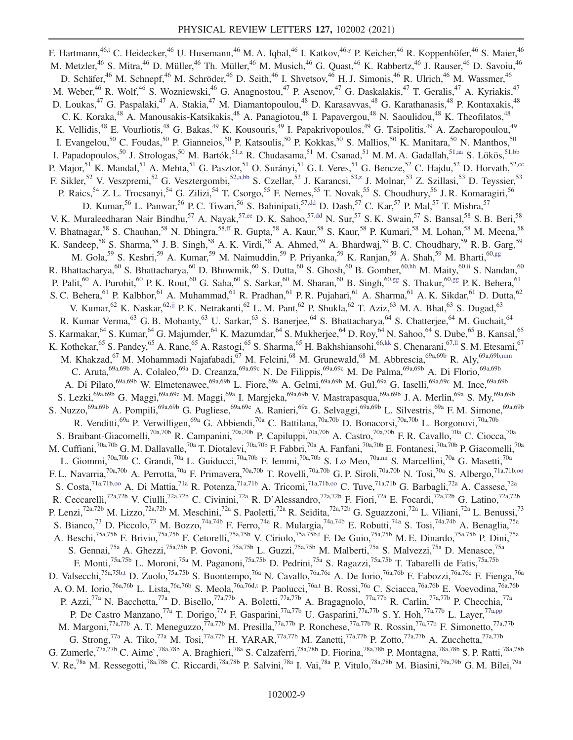<span id="page-8-13"></span><span id="page-8-12"></span><span id="page-8-11"></span><span id="page-8-10"></span><span id="page-8-9"></span><span id="page-8-8"></span><span id="page-8-7"></span><span id="page-8-6"></span><span id="page-8-5"></span><span id="page-8-4"></span><span id="page-8-3"></span><span id="page-8-2"></span><span id="page-8-1"></span><span id="page-8-0"></span>F. Hartmann,<sup>4[6,t](#page-17-18)</sup> C. Heidecker,<sup>46</sup> U. Husemann,<sup>46</sup> M. A. Iqbal,<sup>46</sup> I. Katkov,<sup>4[6,y](#page-17-23)</sup> P. Keicher,<sup>46</sup> R. Koppenhöfer,<sup>46</sup> S. Maier,<sup>46</sup> M. Metzler,<sup>46</sup> S. Mitra,<sup>46</sup> D. Müller,<sup>46</sup> Th. Müller,<sup>46</sup> M. Musich,<sup>46</sup> G. Quast,<sup>46</sup> K. Rabbertz,<sup>46</sup> J. Rauser,<sup>46</sup> D. Savoiu,<sup>46</sup> D. Schäfer,<sup>46</sup> M. Schnepf,<sup>46</sup> M. Schröder,<sup>46</sup> D. Seith,<sup>46</sup> I. Shvetsov,<sup>46</sup> H. J. Simonis,<sup>46</sup> R. Ulrich,<sup>46</sup> M. Wassmer,<sup>46</sup> M. Weber,<sup>46</sup> R. Wolf,<sup>46</sup> S. Wozniewski,<sup>46</sup> G. Anagnostou,<sup>47</sup> P. Asenov,<sup>47</sup> G. Daskalakis,<sup>47</sup> T. Geralis,<sup>47</sup> A. Kyriakis,<sup>47</sup> D. Loukas,<sup>47</sup> G. Paspalaki,<sup>47</sup> A. Stakia,<sup>47</sup> M. Diamantopoulou,<sup>48</sup> D. Karasavvas,<sup>48</sup> G. Karathanasis,<sup>48</sup> P. Kontaxakis,<sup>48</sup> C. K. Koraka,<sup>48</sup> A. Manousakis-Katsikakis,<sup>48</sup> A. Panagiotou,<sup>48</sup> I. Papavergou,<sup>48</sup> N. Saoulidou,<sup>48</sup> K. Theofilatos,<sup>48</sup> K. Vellidis,<sup>48</sup> E. Vourliotis,<sup>48</sup> G. Bakas,<sup>49</sup> K. Kousouris,<sup>49</sup> I. Papakrivopoulos,<sup>49</sup> G. Tsipolitis,<sup>49</sup> A. Zacharopoulou,<sup>49</sup> I. Evangelou,<sup>50</sup> C. Foudas,<sup>50</sup> P. Gianneios,<sup>50</sup> P. Katsoulis,<sup>50</sup> P. Kokkas,<sup>50</sup> S. Mallios,<sup>50</sup> K. Manitara,<sup>50</sup> N. Manthos,<sup>50</sup> I. Papadopoulos,<sup>50</sup> J. Strologas,<sup>50</sup> M. Bartók,<sup>51[,z](#page-17-24)</sup> R. Chudasama,<sup>51</sup> M. Csanad,<sup>51</sup> M. M. A. Gadallah,<sup>51[,aa](#page-17-25)</sup> S. Lökös,<sup>5[1,bb](#page-17-26)</sup> P. Major,<sup>51</sup> K. Mandal,<sup>51</sup> A. Mehta,<sup>51</sup> G. Pasztor,<sup>51</sup> O. Surányi,<sup>51</sup> G. I. Veres,<sup>51</sup> G. Bencze,<sup>52</sup> C. Hajdu,<sup>52</sup> D. Horvath,<sup>5[2,cc](#page-17-27)</sup> F. Sikler,<sup>52</sup> V. Veszpremi,<sup>52</sup> G. Vesztergombi,<sup>52[,a,bb](#page-17-0)</sup> S. Czellar,<sup>53</sup> J. Karancsi,<sup>5[3,z](#page-17-24)</sup> J. Molnar,<sup>53</sup> Z. Szillasi,<sup>53</sup> D. Teyssier,<sup>53</sup> P. Raics,<sup>54</sup> Z. L. Trocsanyi,<sup>54</sup> G. Zilizi,<sup>54</sup> T. Csorgo,<sup>55</sup> F. Nemes,<sup>55</sup> T. Novak,<sup>55</sup> S. Choudhury,<sup>56</sup> J. R. Komaragiri,<sup>56</sup> D. Kumar,<sup>56</sup> L. Panwar,<sup>56</sup> P. C. Tiwari,<sup>56</sup> S. Bahinipati,<sup>57[,dd](#page-17-28)</sup> D. Dash,<sup>57</sup> C. Kar,<sup>57</sup> P. Mal,<sup>57</sup> T. Mishra,<sup>57</sup> V. K. Muraleedharan Nair Bindhu,<sup>57</sup> A. Nayak,<sup>5[7,ee](#page-17-29)</sup> D. K. Sahoo,<sup>57[,dd](#page-17-28)</sup> N. Sur,<sup>57</sup> S. K. Swain,<sup>57</sup> S. Bansal,<sup>58</sup> S. B. Beri,<sup>58</sup> V. Bhatnagar,<sup>58</sup> S. Chauhan,<sup>58</sup> N. Dhingra,<sup>5[8,ff](#page-17-30)</sup> R. Gupta,<sup>58</sup> A. Kaur,<sup>58</sup> S. Kaur,<sup>58</sup> P. Kumari,<sup>58</sup> M. Lohan,<sup>58</sup> M. Meena,<sup>58</sup> K. Sandeep,<sup>58</sup> S. Sharma,<sup>58</sup> J. B. Singh,<sup>58</sup> A. K. Virdi,<sup>58</sup> A. Ahmed,<sup>59</sup> A. Bhardwaj,<sup>59</sup> B. C. Choudhary,<sup>59</sup> R. B. Garg,<sup>59</sup> M. Gola,<sup>59</sup> S. Keshri,<sup>59</sup> A. Kumar,<sup>59</sup> M. Naimuddin,<sup>59</sup> P. Priyanka,<sup>59</sup> K. Ranjan,<sup>59</sup> A. Shah,<sup>59</sup> M. Bharti,<sup>60[,gg](#page-17-31)</sup> R. Bhattacharya,<sup>60</sup> S. Bhattacharya,<sup>60</sup> D. Bhowmik,<sup>60</sup> S. Dutta,<sup>60</sup> S. Ghosh,<sup>60</sup> B. Gomber,<sup>60[,hh](#page-17-32)</sup> M. Maity,<sup>6[0,ii](#page-17-33)</sup> S. Nandan,<sup>60</sup> P. Palit,<sup>60</sup> A. Purohit,<sup>60</sup> P. K. Rout,<sup>60</sup> G. Saha,<sup>60</sup> S. Sarkar,<sup>60</sup> M. Sharan,<sup>60</sup> B. Singh,<sup>60[,gg](#page-17-31)</sup> S. Thakur,<sup>60,gg</sup> P. K. Behera,<sup>61</sup> S. C. Behera, <sup>61</sup> P. Kalbhor, <sup>61</sup> A. Muhammad, <sup>61</sup> R. Pradhan, <sup>61</sup> P. R. Pujahari, <sup>61</sup> A. Sharma, <sup>61</sup> A. K. Sikdar, <sup>61</sup> D. Dutta, <sup>62</sup> V. Kumar, <sup>62</sup> K. Naskar, <sup>6[2,jj](#page-17-34)</sup> P. K. Netrakanti, <sup>62</sup> L. M. Pant, <sup>62</sup> P. Shukla, <sup>62</sup> T. Aziz, <sup>63</sup> M. A. Bhat, <sup>63</sup> S. Dugad, <sup>63</sup> R. Kumar Verma,<sup>63</sup> G. B. Mohanty,<sup>63</sup> U. Sarkar,<sup>63</sup> S. Banerjee,<sup>64</sup> S. Bhattacharya,<sup>64</sup> S. Chatterjee,<sup>64</sup> M. Guchait,<sup>64</sup> S. Karmakar, <sup>64</sup> S. Kumar, <sup>64</sup> G. Majumder, <sup>64</sup> K. Mazumdar, <sup>64</sup> S. Mukherjee, <sup>64</sup> D. Roy, <sup>64</sup> N. Sahoo, <sup>64</sup> S. Dube, <sup>65</sup> B. Kansal, <sup>65</sup> K. Kothekar,<sup>65</sup> S. Pandey,<sup>65</sup> A. Rane,<sup>65</sup> A. Rastogi,<sup>65</sup> S. Sharma,<sup>65</sup> H. Bakhshiansohi,<sup>6[6,kk](#page-17-35)</sup> S. Chenarani,<sup>67[,ll](#page-17-36)</sup> S. M. Etesami,<sup>67</sup> M. Khakzad,<sup>67</sup> M. Mohammadi Najafabadi,<sup>67</sup> M. Felcini,<sup>68</sup> M. Grunewald,<sup>68</sup> M M. Khakzad, <sup>67</sup> M. Mohammadi Najafabadi, <sup>67</sup> M. Felcini, <sup>68</sup> M. Grunewald, <sup>68</sup> M. Abbrescia, <sup>69a, 69b</sup> R. Aly, <sup>69a, 69b, mm</sup> C. Aruta, <sup>69a,69b</sup> A. Colaleo, <sup>69a</sup> D. Creanza, <sup>69a,69c</sup> N. De Filippis, <sup>69a,69c</sup> M. De Palma, <sup>69a,69b</sup> A. Di Florio, <sup>69a,69b</sup> A. Di Pilato,<sup>69a,69b</sup> W. Elmetenawee,<sup>69a,69b</sup> L. Fiore,<sup>69a</sup> A. Gelmi,<sup>69a,69b</sup> M. Gul,<sup>69a</sup> G. Iaselli,<sup>69a,69c</sup> M. Ince,<sup>69a,69b</sup> S. Lezki,<sup>69a,69b</sup> G. Maggi,<sup>69a,69c</sup> M. Maggi,<sup>69a</sup> I. Margjeka,<sup>69a,69b</sup> V. Mastrapasqua,<sup>69a,69b</sup> J. A. Merlin,<sup>69a</sup> S. My,<sup>69a,69b</sup> S. Nuzzo,<sup>69a,69b</sup> A. Pompili,<sup>69a,69b</sup> G. Pugliese,<sup>69a,69c</sup> A. Ranieri,<sup>69a</sup> G. Selvaggi,<sup>69a,69b</sup> L. Silvestris,<sup>69a</sup> F. M. Simone,<sup>69a,69b</sup> R. Venditti,<sup>69a</sup> P. Verwilligen,<sup>69a</sup> G. Abbiendi,<sup>70a</sup> C. Battilana,<sup>70a,70b</sup> D. Bonacorsi,<sup>70a,70b</sup> L. Borgonovi,<sup>70a,70b</sup> S. Braibant-Giacomelli,<sup>70a,70b</sup> R. Campanini,<sup>70a,70b</sup> P. Capiluppi,<sup>70a,70b</sup> A. Castro,<sup>70a,70b</sup> F. R. Cavallo,<sup>70a</sup> C. Ciocca,<sup>70a</sup> M. Cuffiani,<sup>70a,70b</sup> G. M. Dallavalle,<sup>70a</sup> T. Diotalevi,<sup>70a,70b</sup> F. Fabbri,<sup>70a</sup> A. Fanfani,<sup>70a,70b</sup> E. Fontanesi,<sup>70a,70b</sup> P. Giacomelli,<sup>70a</sup> L. Giommi,<sup>70a,70b</sup> C. Grandi,<sup>70a</sup> L. Guiducci,<sup>70a,70b</sup> F. Iemmi,<sup>70a,70b</sup> S. Lo Meo,<sup>70a[,nn](#page-17-38)</sup> S. Marcellini,<sup>70a</sup> G. Masetti,<sup>70a</sup> F. L. Navarria,<sup>70a,70b</sup> A. Perrotta,<sup>70a</sup> F. Primavera,<sup>70a,70b</sup> T. Rovelli,<sup>70a,70b</sup> G. P. Siroli,<sup>70a,70b</sup> N. Tosi,<sup>70a</sup> S. Albergo,<sup>71a,71b,00</sup> S. Costa,<sup>71a,71b,00</sup> A. Di Mattia,<sup>71a</sup> R. Potenza,<sup>71a,71b</sup> A. Tricomi,<sup>71a,71b,00</sup> C. Tuve,<sup>71a,71b</sup> G. Barbagli,<sup>72a</sup> A. Cassese,<sup>72a</sup> R. Ceccarelli,<sup>72a,72b</sup> V. Ciulli,<sup>72a,72b</sup> C. Civinini,<sup>72a</sup> R. D'Alessandro,<sup>72a,72b</sup> F. Fiori,<sup>72a</sup> E. Focardi,<sup>72a,72b</sup> G. Latino,<sup>72a,72b</sup> P. Lenzi,<sup>72a,72b</sup> M. Lizzo,<sup>72a,72b</sup> M. Meschini,<sup>72a</sup> S. Paoletti,<sup>72a</sup> R. Seidita,<sup>72a,72b</sup> G. Sguazzoni,<sup>72a</sup> L. Viliani,<sup>72a</sup> L. Benussi,<sup>73</sup> S. Bianco,<sup>73</sup> D. Piccolo,<sup>73</sup> M. Bozzo,<sup>74a,74b</sup> F. Ferro,<sup>74a</sup> R. Mulargia,<sup>74a,74b</sup> E. Robutti,<sup>74a</sup> S. Tosi,<sup>74a,74b</sup> A. Benaglia,<sup>75a</sup> A. Beschi,<sup>75a,75b</sup> F. Brivio,<sup>75a,75b</sup> F. Cetorelli,<sup>75a,75b</sup> V. Ciriolo,<sup>75a,75b[,t](#page-17-18)</sup> F. De Guio,<sup>75a,75b</sup> M. E. Dinardo,<sup>75a,75b</sup> P. Dini,<sup>75a</sup> S. Gennai,<sup>75a</sup> A. Ghezzi,<sup>75a,75b</sup> P. Govoni,<sup>75a,75b</sup> L. Guzzi,<sup>75a,75b</sup> M. Malberti,<sup>75a</sup> S. Malvezzi,<sup>75a</sup> D. Menasce,<sup>75a</sup> F. Monti,<sup>75a,75b</sup> L. Moroni,<sup>75a</sup> M. Paganoni,<sup>75a,75b</sup> D. Pedrini,<sup>75a</sup> S. Ragazzi,<sup>75a,75b</sup> T. Tabarelli de Fatis,<sup>75a,75b</sup> D. Valsecchi,<sup>75a,75b[,t](#page-17-18)</sup> D. Zuolo,<sup>75a,75b</sup> S. Buontempo,<sup>76a</sup> N. Cavallo,<sup>76a,76c</sup> A. De Iorio,<sup>76a,76b</sup> F. Fabozzi,<sup>76a,76c</sup> F. Fienga,<sup>76a</sup> A. O. M. Iorio,<sup>76a,76b</sup> L. Lista,<sup>76a,76b</sup> S. Meola,<sup>76a,76[d,t](#page-17-18)</sup> P. Paolucci,<sup>76a[,t](#page-17-18)</sup> B. Rossi,<sup>76a</sup> C. Sciacca,<sup>76a,76b</sup> E. Voevodina,<sup>76a,76b</sup> P. Azzi,<sup>77a</sup> N. Bacchetta,<sup>77a</sup> D. Bisello,<sup>77a,77b</sup> A. Boletti,<sup>77a,77b</sup> A. Bragagnolo,<sup>77a,77b</sup> R. Carlin,<sup>77a,77b</sup> P. Checchia,<sup>77a</sup> P. De Castro Manzano,<sup>77a</sup> T. Dorigo,<sup>77a</sup> F. Gasparini,<sup>77a,77b</sup> U. Gasparini,<sup>77a,77b</sup> S. Y. Hoh,<sup>77a,77b</sup> L. Layer,<sup>77[a,pp](#page-17-40)</sup> M. Margoni,<sup>77a,77b</sup> A. T. Meneguzzo,<sup>77a,77b</sup> M. Presilla,<sup>77a,77b</sup> P. Ronchese,<sup>77a,77b</sup> R. Rossin,<sup>77a,77b</sup> F. Simonetto,<sup>77a,77b</sup> G. Strong,<sup>77a</sup> A. Tiko,<sup>77a</sup> M. Tosi,<sup>77a,77b</sup> H. YARAR,<sup>77a,77b</sup> M. Zanetti,<sup>77a,77b</sup> P. Zotto,<sup>77a,77b</sup> A. Zucchetta,<sup>77a,77b</sup> G. Zumerle,<sup>77a,77b</sup> C. Aime`,<sup>78a,78b</sup> A. Braghieri,<sup>78a</sup> S. Calzaferri,<sup>78a,78b</sup> D. Fiorina,<sup>78a,78b</sup> P. Montagna,<sup>78a,78b</sup> S. P. Ratti,<sup>78a,78b</sup> V. Re,<sup>78a</sup> M. Ressegotti,<sup>78a,78b</sup> C. Riccardi,<sup>78a,78b</sup> P. Salvini,<sup>78a</sup> I. Vai,<sup>78a</sup> P. Vitulo,<sup>78a,78b</sup> M. Biasini,<sup>79a,79b</sup> G. M. Bilei,<sup>79a</sup>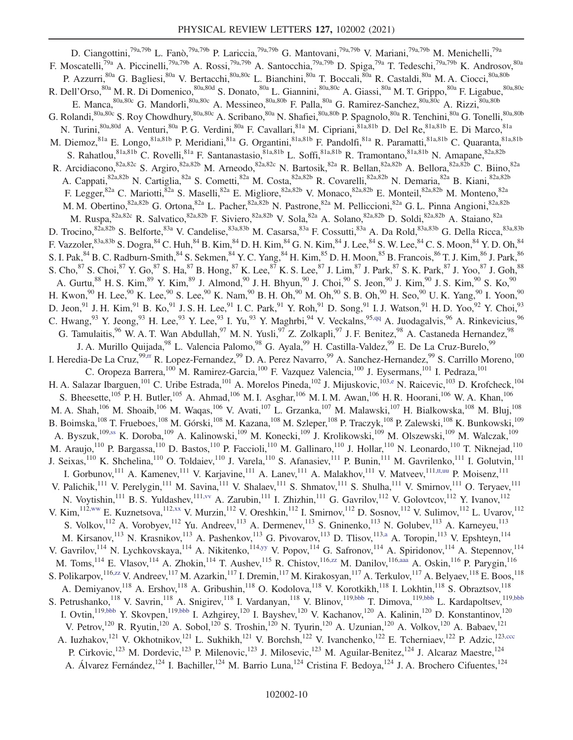<span id="page-9-10"></span><span id="page-9-9"></span><span id="page-9-8"></span><span id="page-9-7"></span><span id="page-9-6"></span><span id="page-9-5"></span><span id="page-9-4"></span><span id="page-9-3"></span><span id="page-9-2"></span><span id="page-9-1"></span><span id="page-9-0"></span>D. Ciangottini,<sup>79a,79b</sup> L. Fanò,<sup>79a,79b</sup> P. Lariccia,<sup>79a,79b</sup> G. Mantovani,<sup>79a,79b</sup> V. Mariani,<sup>79a,79b</sup> M. Menichelli,<sup>79a</sup> F. Moscatelli,<sup>79a</sup> A. Piccinelli,<sup>79a,79b</sup> A. Rossi,<sup>79a,79b</sup> A. Santocchia,<sup>79a,79b</sup> D. Spiga,<sup>79a</sup> T. Tedeschi,<sup>79a,79b</sup> K. Androsov,<sup>80a</sup> P. Azzurri,<sup>80a</sup> G. Bagliesi,<sup>80a</sup> V. Bertacchi,<sup>80a,80c</sup> L. Bianchini,<sup>80a</sup> T. Boccali,<sup>80a</sup> R. Castaldi,<sup>80a</sup> M. A. Ciocci,<sup>80a,80b</sup> R. Dell'Orso,<sup>80a</sup> M. R. Di Domenico,<sup>80a,80d</sup> S. Donato,<sup>80a</sup> L. Giannini,<sup>80a,80c</sup> A. Giassi,<sup>80a</sup> M. T. Grippo,<sup>80a</sup> F. Ligabue,<sup>80a,80c</sup> E. Manca, <sup>80a,80c</sup> G. Mandorli, <sup>80a,80c</sup> A. Messineo, <sup>80a,80b</sup> F. Palla, <sup>80a</sup> G. Ramirez-Sanchez, <sup>80a,80c</sup> A. Rizzi, <sup>80a,80b</sup> G. Rolandi,<sup>80a,80c</sup> S. Roy Chowdhury,<sup>80a,80c</sup> A. Scribano,<sup>80a</sup> N. Shafiei,<sup>80a,80b</sup> P. Spagnolo,<sup>80a</sup> R. Tenchini,<sup>80a</sup> G. Tonelli,<sup>80a,80b</sup> N. Turini,<sup>80a,80d</sup> A. Venturi,<sup>80a</sup> P. G. Verdini,<sup>80a</sup> F. Cavallari,<sup>81a</sup> M. Cipriani,<sup>81a,81b</sup> D. Del Re,<sup>81a,81b</sup> E. Di Marco,<sup>81a</sup> M. Diemoz, <sup>81a</sup> E. Longo, <sup>81a,81b</sup> P. Meridiani, <sup>81a</sup> G. Organtini, <sup>81a,81b</sup> F. Pandolfi, <sup>81a</sup> R. Paramatti, <sup>81a,81b</sup> C. Quaranta, <sup>81a,81b</sup> S. Rahatlou, <sup>81a,81b</sup> C. Rovelli, <sup>81a</sup> F. Santanastasio, <sup>81a,81b</sup> L. Soffi, <sup>81a,81b</sup> R. Tramontano, <sup>81a,81b</sup> N. Amapane, <sup>82a,82b</sup> R. Arcidiacono,<sup>82a,82c</sup> S. Argiro,<sup>82a,82b</sup> M. Arneodo,<sup>82a,82c</sup> N. Bartosik,<sup>82a</sup> R. Bellan,<sup>82a,82b</sup> A. Bellora,<sup>82a,82b</sup> C. Biino,<sup>82a</sup> A. Cappati,<sup>82a,82b</sup> N. Cartiglia,<sup>82a</sup> S. Cometti,<sup>82a</sup> M. Costa,<sup>82a,82b</sup> R. Covarelli,<sup>82a,82b</sup> N. Demaria,<sup>82a</sup> B. Kiani,<sup>82a,82b</sup> F. Legger,<sup>82a</sup> C. Mariotti,<sup>82a</sup> S. Maselli,<sup>82a</sup> E. Migliore,<sup>82a,82b</sup> V. Monaco,<sup>82a,82b</sup> E. Monteil,<sup>82a,82b</sup> M. Monteno,<sup>82a</sup> M. M. Obertino,  $82a,82b$  G. Ortona,  $82a$  L. Pacher,  $82a,82b$  N. Pastrone,  $82a$  M. Pelliccioni,  $82a$  G. L. Pinna Angioni,  $82a,82b$ M. Ruspa,  $82a,82c$  R. Salvatico,  $82a,82b$  F. Siviero,  $82a,82b$  V. Sola,  $82a$  A. Solano,  $82a,82b$  D. Soldi,  $82a,82b$  A. Staiano,  $82a$ D. Trocino,<sup>82a,82b</sup> S. Belforte,<sup>83a</sup> V. Candelise,<sup>83a,83b</sup> M. Casarsa,<sup>83a</sup> F. Cossutti,<sup>83a</sup> A. Da Rold,<sup>83a,83b</sup> G. Della Ricca,<sup>83a,83b</sup> F. Vazzoler, $^{83a,83b}$  S. Dogra, $^{84}$  C. Huh, $^{84}$  B. Kim, $^{84}$  D. H. Kim, $^{84}$  G. N. Kim, $^{84}$  J. Lee, $^{84}$  S. W. Lee, $^{84}$  C. S. Moon, $^{84}$  Y. D. Oh, $^{84}$ S. I. Pak,  $84$  B. C. Radburn-Smith,  $84$  S. Sekmen,  $84$  Y. C. Yang,  $84$  H. Kim,  $85$  D. H. Moon,  $85$  B. Francois,  $86$  T. J. Kim,  $86$  J. Park,  $86$ S. Cho,  $87$  S. Choi,  $87$  Y. Go,  $87$  S. Ha,  $87$  B. Hong,  $87$  K. Lee,  $87$  K. S. Lee,  $87$  J. Lim,  $87$  J. Park,  $87$  S. K. Park,  $87$  J. Yoo,  $87$  J. Goh,  $88$ A. Gurtu,  $^{88}$  H. S. Kim,  $^{89}$  Y. Kim,  $^{89}$  J. Almond,  $^{90}$  J. H. Bhyun,  $^{90}$  J. Choi,  $^{90}$  S. Jeon,  $^{90}$  J. Kim,  $^{90}$  J. S. Kim,  $^{90}$  S. Ko,  $^{90}$ H. Kwon,<sup>90</sup> H. Lee,<sup>90</sup> K. Lee,<sup>90</sup> S. Lee,<sup>90</sup> K. Nam,<sup>90</sup> B. H. Oh,<sup>90</sup> M. Oh,<sup>90</sup> S. B. Oh,<sup>90</sup> H. Seo,<sup>90</sup> U. K. Yang,<sup>90</sup> I. Yoon,<sup>90</sup> I. Yoon,<sup>90</sup> D. Jeon, <sup>91</sup> J. H. Kim, <sup>91</sup> B. Ko, <sup>91</sup> J. S. H. Lee, <sup>91</sup> I. C. Park, <sup>91</sup> Y. Roh, <sup>91</sup> D. Song, <sup>91</sup> I. J. Watson, <sup>91</sup> H. D. Yoo, <sup>92</sup> Y. Choi, <sup>93</sup> C. Hwang, <sup>93</sup> Y. Jeong, <sup>93</sup> H. Lee, <sup>93</sup> Y. Lee, <sup>93</sup> I. Yu, <sup>93</sup> Y. Maghrbi, <sup>94</sup> V. Veckalns, <sup>9[5,qq](#page-17-41)</sup> A. Juodagalvis, <sup>96</sup> A. Rinkevicius, <sup>96</sup> G. Tamulaitis, <sup>96</sup> W. A. T. Wan Abdullah, <sup>97</sup> M. N. Yusli, <sup>97</sup> Z. Zolkapli, <sup>97</sup> J. F. Benitez, <sup>98</sup> A. Castaneda Hernandez, <sup>98</sup> J. A. Murillo Quijada,<sup>98</sup> L. Valencia Palomo,<sup>98</sup> G. Ayala,<sup>99</sup> H. Castilla-Valdez,<sup>99</sup> E. De La Cruz-Burelo,<sup>99</sup> I. Heredia-De La Cruz, <sup>99[,rr](#page-17-42)</sup> R. Lopez-Fernandez, <sup>99</sup> D. A. Perez Navarro, <sup>99</sup> A. Sanchez-Hernandez, <sup>99</sup> S. Carrillo Moreno,<sup>100</sup> C. Oropeza Barrera,<sup>100</sup> M. Ramirez-Garcia,<sup>100</sup> F. Vazquez Valencia,<sup>100</sup> J. Eysermans,<sup>101</sup> I. Pedraza,<sup>101</sup> H. A. Salazar Ibarguen,<sup>101</sup> C. Uribe Estrada,<sup>101</sup> A. Morelos Pineda,<sup>102</sup> J. Mijuskovic,<sup>10[3,e](#page-17-4)</sup> N. Raicevic,<sup>103</sup> D. Krofcheck,<sup>104</sup> S. Bheesette,<sup>105</sup> P. H. Butler,<sup>105</sup> A. Ahmad,<sup>106</sup> M. I. Asghar,<sup>106</sup> M. I. M. Awan,<sup>106</sup> H. R. Hoorani,<sup>106</sup> W. A. Khan,<sup>106</sup> M. A. Shah,<sup>106</sup> M. Shoaib,<sup>106</sup> M. Waqas,<sup>106</sup> V. Avati,<sup>107</sup> L. Grzanka,<sup>107</sup> M. Malawski,<sup>107</sup> H. Bialkowska,<sup>108</sup> M. Bluj,<sup>108</sup> B. Boimska, <sup>108</sup> T. Frueboes, <sup>108</sup> M. Górski, <sup>108</sup> M. Kazana, <sup>108</sup> M. Szleper, <sup>108</sup> P. Traczyk, <sup>108</sup> P. Zalewski, <sup>108</sup> K. Bunkowski, <sup>109</sup> A. Byszuk,<sup>10[9,ss](#page-17-43)</sup> K. Doroba,<sup>109</sup> A. Kalinowski,<sup>109</sup> M. Konecki,<sup>109</sup> J. Krolikowski,<sup>109</sup> M. Olszewski,<sup>109</sup> M. Walczak,<sup>109</sup> M. Araujo,<sup>110</sup> P. Bargassa,<sup>110</sup> D. Bastos,<sup>110</sup> P. Faccioli,<sup>110</sup> M. Gallinaro,<sup>110</sup> J. Hollar,<sup>110</sup> N. Leonardo,<sup>110</sup> T. Niknejad,<sup>110</sup> I. J. Seixas,  $^{110}$  K. Shchelina,  $^{110}$  O. Toldaiev,  $^{110}$  J. Varela,  $^{110}$  S. Afanasiev,  $^{111}$  P. Bunin,  $^{111}$  M. Gavrilenko,  $^{111}$  I. Golutvin,  $^{111}$ I. Gorbunov,<sup>111</sup> A. Kamenev,<sup>111</sup> V. Karjavine,<sup>111</sup> A. Lanev,<sup>111</sup> A. Malakhov,<sup>111</sup> V. Matveev,<sup>111[,tt,uu](#page-17-44)</sup> P. Moisenz,<sup>111</sup> V. Palichik,<sup>111</sup> V. Perelygin,<sup>111</sup> M. Savina,<sup>111</sup> V. Shalaev,<sup>111</sup> S. Shmatov,<sup>111</sup> S. Shulha,<sup>111</sup> V. Smirnov,<sup>111</sup> O. Teryaev,<sup>111</sup> N. Voytishin,<sup>111</sup> B. S. Yuldashev,<sup>111[,vv](#page-17-45)</sup> A. Zarubin,<sup>111</sup> I. Zhizhin,<sup>111</sup> G. Gavrilov,<sup>112</sup> V. Golovtcov,<sup>112</sup> Y. Ivanov,<sup>112</sup> V. Kim,  $^{112,ww}$  $^{112,ww}$  $^{112,ww}$  E. Kuznetsova,  $^{112,xx}$  $^{112,xx}$  $^{112,xx}$  V. Murzin,  $^{112}$  V. Oreshkin,  $^{112}$  I. Smirnov,  $^{112}$  D. Sosnov,  $^{112}$  V. Sulimov,  $^{112}$  L. Uvarov,  $^{112}$ S. Volkov,<sup>112</sup> A. Vorobyev,<sup>112</sup> Yu. Andreev,<sup>113</sup> A. Dermenev,<sup>113</sup> S. Gninenko,<sup>113</sup> N. Golubev,<sup>113</sup> A. Karneyeu,<sup>113</sup> M. Kirsanov,<sup>113</sup> N. Krasnikov,<sup>113</sup> A. Pashenkov,<sup>113</sup> G. Pivovarov,<sup>113</sup> D. Tlisov,<sup>11[3,a](#page-17-0)</sup> A. Toropin,<sup>113</sup> V. Epshteyn,<sup>114</sup> V. Gavrilov,<sup>114</sup> N. Lychkovskaya,<sup>114</sup> A. Nikitenko,<sup>11[4,yy](#page-17-48)</sup> V. Popov,<sup>114</sup> G. Safronov,<sup>114</sup> A. Spiridonov,<sup>114</sup> A. Stepennov,<sup>114</sup> M. Toms,<sup>114</sup> E. Vlasov,<sup>114</sup> A. Zhokin,<sup>114</sup> T. Aushev,<sup>115</sup> R. Chistov,<sup>11[6,zz](#page-17-49)</sup> M. Danilov,<sup>11[6,aaa](#page-17-50)</sup> A. Oskin,<sup>116</sup> P. Parygin,<sup>116</sup> S. Polikarpov, <sup>116[,zz](#page-17-49)</sup> V. Andreev, <sup>117</sup> M. Azarkin, <sup>117</sup> I. Dremin, <sup>117</sup> M. Kirakosyan, <sup>117</sup> A. Terkulov, <sup>117</sup> A. Belyaev, <sup>118</sup> E. Boos, <sup>118</sup> A. Demiyanov,<sup>118</sup> A. Ershov,<sup>118</sup> A. Gribushin,<sup>118</sup> O. Kodolova,<sup>118</sup> V. Korotkikh,<sup>118</sup> I. Lokhtin,<sup>118</sup> S. Obraztsov,<sup>118</sup> S. Petrushanko,<sup>118</sup> V. Savrin,<sup>118</sup> A. Snigirev,<sup>118</sup> I. Vardanyan,<sup>118</sup> V. Blinov,<sup>11[9,bbb](#page-17-51)</sup> T. Dimova,<sup>119[,bbb](#page-17-51)</sup> L. Kardapoltsev,<sup>119,bbb</sup> I. Ovtin,<sup>119[,bbb](#page-17-51)</sup> Y. Skovpen,<sup>119,bbb</sup> I. Azhgirey,<sup>120</sup> I. Bayshev,<sup>120</sup> V. Kachanov,<sup>120</sup> A. Kalinin,<sup>120</sup> D. Konstantinov,<sup>120</sup> V. Petrov,<sup>120</sup> R. Ryutin,<sup>120</sup> A. Sobol,<sup>120</sup> S. Troshin,<sup>120</sup> N. Tyurin,<sup>120</sup> A. Uzunian,<sup>120</sup> A. Volkov,<sup>120</sup> A. Babaev,<sup>121</sup> A. Iuzhakov,<sup>121</sup> V. Okhotnikov,<sup>121</sup> L. Sukhikh,<sup>121</sup> V. Borchsh,<sup>122</sup> V. Ivanchenko,<sup>122</sup> E. Tcherniaev,<sup>122</sup> P. Adzic,<sup>12[3,ccc](#page-17-52)</sup> P. Cirkovic,<sup>123</sup> M. Dordevic,<sup>123</sup> P. Milenovic,<sup>123</sup> J. Milosevic,<sup>123</sup> M. Aguilar-Benitez,<sup>124</sup> J. Alcaraz Maestre,<sup>124</sup> A. Álvarez Fernández,<sup>124</sup> I. Bachiller,<sup>124</sup> M. Barrio Luna,<sup>124</sup> Cristina F. Bedoya,<sup>124</sup> J. A. Brochero Cifuentes,<sup>124</sup>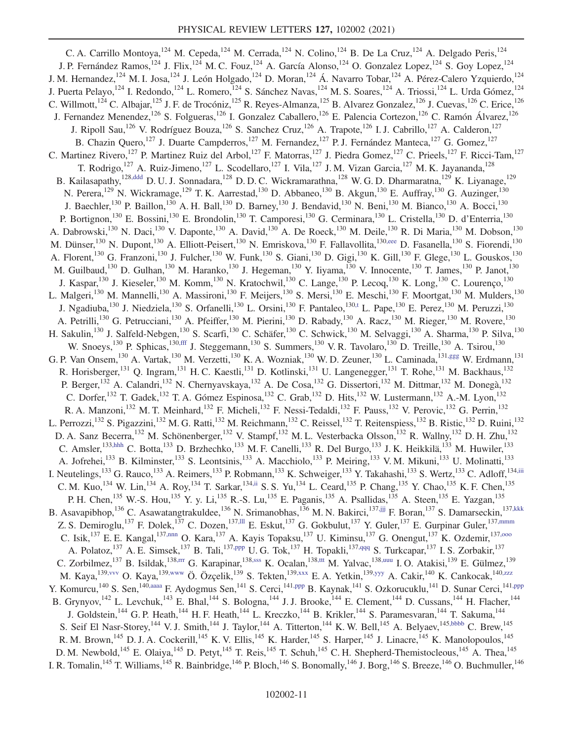<span id="page-10-13"></span><span id="page-10-12"></span><span id="page-10-11"></span><span id="page-10-10"></span><span id="page-10-9"></span><span id="page-10-8"></span><span id="page-10-7"></span><span id="page-10-6"></span><span id="page-10-5"></span><span id="page-10-4"></span><span id="page-10-3"></span><span id="page-10-2"></span><span id="page-10-1"></span><span id="page-10-0"></span>C. A. Carrillo Montoya, <sup>124</sup> M. Cepeda, <sup>124</sup> M. Cerrada, <sup>124</sup> N. Colino, <sup>124</sup> B. De La Cruz, <sup>124</sup> A. Delgado Peris, <sup>124</sup> J. P. Fernández Ramos,<sup>124</sup> J. Flix,<sup>124</sup> M. C. Fouz,<sup>124</sup> A. García Alonso,<sup>124</sup> O. Gonzalez Lopez,<sup>124</sup> S. Goy Lopez,<sup>124</sup> J. M. Hernandez,<sup>124</sup> M. I. Josa,<sup>124</sup> J. León Holgado,<sup>124</sup> D. Moran,<sup>124</sup> Á. Navarro Tobar,<sup>124</sup> A. Pérez-Calero Yzquierdo,<sup>124</sup> J. Puerta Pelayo,<sup>124</sup> I. Redondo,<sup>124</sup> L. Romero,<sup>124</sup> S. Sánchez Navas,<sup>124</sup> M. S. Soares,<sup>124</sup> A. Triossi,<sup>124</sup> L. Urda Gómez,<sup>124</sup> C. Willmott,<sup>124</sup> C. Albajar,<sup>125</sup> J. F. de Trocóniz,<sup>125</sup> R. Reyes-Almanza,<sup>125</sup> B. Alvarez Gonzalez,<sup>126</sup> J. Cuevas,<sup>126</sup> C. Erice,<sup>126</sup> J. Fernandez Menendez,<sup>126</sup> S. Folgueras,<sup>126</sup> I. Gonzalez Caballero,<sup>126</sup> E. Palencia Cortezon,<sup>126</sup> C. Ramón Álvarez,<sup>126</sup> J. Ripoll Sau,<sup>126</sup> V. Rodríguez Bouza,<sup>126</sup> S. Sanchez Cruz,<sup>126</sup> A. Trapote,<sup>126</sup> I. J. Cabrillo,<sup>127</sup> A. Calderon,<sup>127</sup> B. Chazin Quero,<sup>127</sup> J. Duarte Campderros,<sup>127</sup> M. Fernandez,<sup>127</sup> P. J. Fernández Manteca,<sup>127</sup> G. Gomez,<sup>127</sup> C. Martinez Rivero,<sup>127</sup> P. Martinez Ruiz del Arbol,<sup>127</sup> F. Matorras,<sup>127</sup> J. Piedra Gomez,<sup>127</sup> C. Prieels,<sup>127</sup> F. Ricci-Tam,<sup>127</sup> T. Rodrigo,<sup>127</sup> A. Ruiz-Jimeno,<sup>127</sup> L. Scodellaro,<sup>127</sup> I. Vila,<sup>127</sup> J. M. Vizan Garcia,<sup>127</sup> M. K. Jayananda,<sup>128</sup> B. Kailasapathy,<sup>12[8,ddd](#page-17-53)</sup> D. U. J. Sonnadara,<sup>128</sup> D. D. C. Wickramarathna,<sup>128</sup> W. G. D. Dharmaratna,<sup>129</sup> K. Liyanage,<sup>129</sup> N. Perera,<sup>129</sup> N. Wickramage,<sup>129</sup> T. K. Aarrestad,<sup>130</sup> D. Abbaneo,<sup>130</sup> B. Akgun,<sup>130</sup> E. Auffray,<sup>130</sup> G. Auzinger,<sup>130</sup> J. Baechler,<sup>130</sup> P. Baillon,<sup>130</sup> A. H. Ball,<sup>130</sup> D. Barney,<sup>130</sup> J. Bendavid,<sup>130</sup> N. Beni,<sup>130</sup> M. Bianco,<sup>130</sup> A. Bocci,<sup>130</sup> P. Bortignon,<sup>130</sup> E. Bossini,<sup>130</sup> E. Brondolin,<sup>130</sup> T. Camporesi,<sup>130</sup> G. Cerminara,<sup>130</sup> L. Cristella,<sup>130</sup> D. d'Enterria,<sup>130</sup> A. Dabrowski,<sup>130</sup> N. Daci,<sup>130</sup> V. Daponte,<sup>130</sup> A. David,<sup>130</sup> A. De Roeck,<sup>130</sup> M. Deile,<sup>130</sup> R. Di Maria,<sup>130</sup> M. Dobson,<sup>130</sup> M. Dünser,<sup>130</sup> N. Dupont,<sup>130</sup> A. Elliott-Peisert,<sup>130</sup> N. Emriskova,<sup>130</sup> F. Fallavollita,<sup>130[,eee](#page-17-54)</sup> D. Fasanella,<sup>130</sup> S. Fiorendi,<sup>130</sup> A. Florent,<sup>130</sup> G. Franzoni,<sup>130</sup> J. Fulcher,<sup>130</sup> W. Funk,<sup>130</sup> S. Giani,<sup>130</sup> D. Gigi,<sup>130</sup> K. Gill,<sup>130</sup> F. Glege,<sup>130</sup> L. Gouskos,<sup>130</sup> M. Guilbaud,<sup>130</sup> D. Gulhan,<sup>130</sup> M. Haranko,<sup>130</sup> J. Hegeman,<sup>130</sup> Y. Iiyama,<sup>130</sup> V. Innocente,<sup>130</sup> T. James,<sup>130</sup> P. Janot,<sup>130</sup> J. Kaspar,<sup>130</sup> J. Kieseler,<sup>130</sup> M. Komm,<sup>130</sup> N. Kratochwil,<sup>130</sup> C. Lange,<sup>130</sup> P. Lecoq,<sup>130</sup> K. Long,<sup>130</sup> C. Lourenço,<sup>130</sup> L. Malgeri,<sup>130</sup> M. Mannelli,<sup>130</sup> A. Massironi,<sup>130</sup> F. Meijers,<sup>130</sup> S. Mersi,<sup>130</sup> E. Meschi,<sup>130</sup> F. Moortgat,<sup>130</sup> M. Mulders,<sup>130</sup> J. Ngadiuba,<sup>130</sup> J. Niedziela,<sup>130</sup> S. Orfanelli,<sup>130</sup> L. Orsini,<sup>130</sup> F. Pantaleo,<sup>130[,t](#page-17-18)</sup> L. Pape,<sup>130</sup> E. Perez,<sup>130</sup> M. Peruzzi,<sup>130</sup> A. Petrilli,<sup>130</sup> G. Petrucciani,<sup>130</sup> A. Pfeiffer,<sup>130</sup> M. Pierini,<sup>130</sup> D. Rabady,<sup>130</sup> A. Racz,<sup>130</sup> M. Rieger,<sup>130</sup> M. Rovere,<sup>130</sup> H. Sakulin,<sup>130</sup> J. Salfeld-Nebgen,<sup>130</sup> S. Scarfi,<sup>130</sup> C. Schäfer,<sup>130</sup> C. Schwick,<sup>130</sup> M. Selvaggi,<sup>130</sup> A. Sharma,<sup>130</sup> P. Silva,<sup>130</sup> W. Snoeys,<sup>130</sup> P. Sphicas,<sup>13[0,fff](#page-18-0)</sup> J. Steggemann,<sup>130</sup> S. Summers,<sup>130</sup> V. R. Tavolaro,<sup>130</sup> D. Treille,<sup>130</sup> A. Tsirou,<sup>130</sup> G. P. Van Onsem,  $^{130}$  A. Vartak,  $^{130}$  M. Verzetti,  $^{130}$  K. A. Wozniak,  $^{130}$  W. D. Zeuner,  $^{130}$  L. Caminada,  $^{131,ggg}$  $^{131,ggg}$  $^{131,ggg}$  W. Erdmann,  $^{131}$ R. Horisberger,<sup>131</sup> Q. Ingram,<sup>131</sup> H. C. Kaestli,<sup>131</sup> D. Kotlinski,<sup>131</sup> U. Langenegger,<sup>131</sup> T. Rohe,<sup>131</sup> M. Backhaus,<sup>132</sup> P. Berger,<sup>132</sup> A. Calandri,<sup>132</sup> N. Chernyavskaya,<sup>132</sup> A. De Cosa,<sup>132</sup> G. Dissertori,<sup>132</sup> M. Dittmar,<sup>132</sup> M. Donegà,<sup>132</sup> C. Dorfer,<sup>132</sup> T. Gadek,<sup>132</sup> T. A. Gómez Espinosa,<sup>132</sup> C. Grab,<sup>132</sup> D. Hits,<sup>132</sup> W. Lustermann,<sup>132</sup> A.-M. Lyon,<sup>132</sup> R. A. Manzoni,<sup>132</sup> M. T. Meinhard,<sup>132</sup> F. Micheli,<sup>132</sup> F. Nessi-Tedaldi,<sup>132</sup> F. Pauss,<sup>132</sup> V. Perovic,<sup>132</sup> G. Perrin,<sup>132</sup> L. Perrozzi,<sup>132</sup> S. Pigazzini,<sup>132</sup> M. G. Ratti,<sup>132</sup> M. Reichmann,<sup>132</sup> C. Reissel,<sup>132</sup> T. Reitenspiess,<sup>132</sup> B. Ristic,<sup>132</sup> D. Ruini,<sup>132</sup> D. A. Sanz Becerra,<sup>132</sup> M. Schönenberger,<sup>132</sup> V. Stampf,<sup>132</sup> M. L. Vesterbacka Olsson,<sup>132</sup> R. Wallny,<sup>132</sup> D. H. Zhu,<sup>132</sup> C. Amsler,<sup>133[,hhh](#page-18-2)</sup> C. Botta,<sup>133</sup> D. Brzhechko,<sup>133</sup> M. F. Canelli,<sup>133</sup> R. Del Burgo,<sup>133</sup> J. K. Heikkilä,<sup>133</sup> M. Huwiler,<sup>133</sup> A. Jofrehei,<sup>133</sup> B. Kilminster,<sup>133</sup> S. Leontsinis,<sup>133</sup> A. Macchiolo,<sup>133</sup> P. Meiring,<sup>133</sup> V. M. Mikuni,<sup>133</sup> U. Molinatti,<sup>133</sup> I. Neutelings,<sup>133</sup> G. Rauco,<sup>133</sup> A. Reimers,<sup>133</sup> P. Robmann,<sup>133</sup> K. Schweiger,<sup>133</sup> Y. Takahashi,<sup>133</sup> S. Wertz,<sup>133</sup> C. Adloff,<sup>13[4,iii](#page-18-3)</sup> C. M. Kuo,<sup>134</sup> W. Lin,<sup>134</sup> A. Roy,<sup>134</sup> T. Sarkar,<sup>134[,ii](#page-17-33)</sup> S. S. Yu,<sup>134</sup> L. Ceard,<sup>135</sup> P. Chang,<sup>135</sup> Y. Chao,<sup>135</sup> K. F. Chen,<sup>135</sup> P. H. Chen,<sup>135</sup> W.-S. Hou,<sup>135</sup> Y. y. Li,<sup>135</sup> R.-S. Lu,<sup>135</sup> E. Paganis,<sup>135</sup> A. Psallidas,<sup>135</sup> A. Steen,<sup>135</sup> E. Yazgan,<sup>135</sup> B. Asavapibhop,<sup>136</sup> C. Asawatangtrakuldee,<sup>136</sup> N. Srimanobhas,<sup>136</sup> M. N. Bakirci,<sup>137[,jjj](#page-18-4)</sup> F. Boran,<sup>137</sup> S. Damarseckin,<sup>137[,kkk](#page-18-5)</sup> Z. S. Demiroglu,<sup>137</sup> F. Dolek,<sup>137</sup> C. Dozen,<sup>13[7,lll](#page-18-6)</sup> E. Eskut,<sup>137</sup> G. Gokbulut,<sup>137</sup> Y. Guler,<sup>137</sup> E. Gurpinar Guler,<sup>137[,mmm](#page-18-7)</sup> C. Isik,<sup>137</sup> E. E. Kangal,<sup>137[,nnn](#page-18-8)</sup> O. Kara,<sup>137</sup> A. Kayis Topaksu,<sup>137</sup> U. Kiminsu,<sup>137</sup> G. Onengut,<sup>137</sup> K. Ozdemir,<sup>137,000</sup> A. Polatoz,<sup>137</sup> A. E. Simsek,<sup>137</sup> B. Tali,<sup>13[7,ppp](#page-18-10)</sup> U. G. Tok,<sup>137</sup> H. Topakli,<sup>13[7,qqq](#page-18-11)</sup> S. Turkcapar,<sup>137</sup> I. S. Zorbakir,<sup>137</sup> C. Zorbilmez,<sup>137</sup> B. Isildak,<sup>138[,rrr](#page-18-12)</sup> G. Karapinar,<sup>13[8,sss](#page-18-13)</sup> K. Ocalan,<sup>13[8,ttt](#page-18-14)</sup> M. Yalvac,<sup>138[,uuu](#page-18-15)</sup> I. O. Atakisi,<sup>139</sup> E. Gülmez,<sup>139</sup> M. Kaya,<sup>139[,vvv](#page-18-16)</sup> O. Kaya,<sup>139[,www](#page-18-17)</sup> Ö. Özçelik,<sup>139</sup> S. Tekten,<sup>13[9,xxx](#page-18-18)</sup> E. A. Yetkin,<sup>139[,yyy](#page-18-19)</sup> A. Cakir,<sup>140</sup> K. Cankocak,<sup>140[,zzz](#page-18-20)</sup> Y. Komurcu,<sup>140</sup> S. Sen,<sup>14[0,aaaa](#page-18-21)</sup> F. Aydogmus Sen,<sup>141</sup> S. Cerci,<sup>14[1,ppp](#page-18-10)</sup> B. Kaynak,<sup>141</sup> S. Ozkorucuklu,<sup>141</sup> D. Sunar Cerci,<sup>141[,ppp](#page-18-10)</sup> B. Grynyov, <sup>142</sup> L. Levchuk, <sup>143</sup> E. Bhal, <sup>144</sup> S. Bologna, <sup>144</sup> J. J. Brooke, <sup>144</sup> E. Clement, <sup>144</sup> D. Cussans, <sup>144</sup> H. Flacher, <sup>144</sup> J. Goldstein,<sup>144</sup> G. P. Heath,<sup>144</sup> H. F. Heath,<sup>144</sup> L. Kreczko,<sup>144</sup> B. Krikler,<sup>144</sup> S. Paramesvaran,<sup>144</sup> T. Sakuma,<sup>144</sup> S. Seif El Nasr-Storey,<sup>144</sup> V. J. Smith,<sup>144</sup> J. Taylor,<sup>144</sup> A. Titterton,<sup>144</sup> K. W. Bell,<sup>145</sup> A. Belyaev,<sup>14[5,bbbb](#page-18-22)</sup> C. Brew,<sup>145</sup> R. M. Brown,<sup>145</sup> D. J. A. Cockerill,<sup>145</sup> K. V. Ellis,<sup>145</sup> K. Harder,<sup>145</sup> S. Harper,<sup>145</sup> J. Linacre,<sup>145</sup> K. Manolopoulos,<sup>145</sup> D. M. Newbold,<sup>145</sup> E. Olaiya,<sup>145</sup> D. Petyt,<sup>145</sup> T. Reis,<sup>145</sup> T. Schuh,<sup>145</sup> C. H. Shepherd-Themistocleous,<sup>145</sup> A. Thea,<sup>145</sup> I. R. Tomalin,<sup>145</sup> T. Williams,<sup>145</sup> R. Bainbridge,<sup>146</sup> P. Bloch,<sup>146</sup> S. Bonomally,<sup>146</sup> J. Borg,<sup>146</sup> S. Breeze,<sup>146</sup> O. Buchmuller,<sup>146</sup>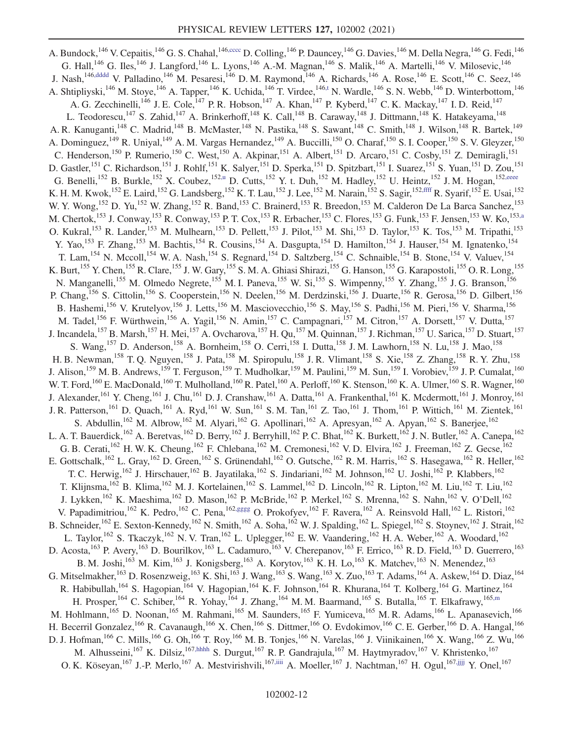<span id="page-11-6"></span><span id="page-11-5"></span><span id="page-11-4"></span><span id="page-11-3"></span><span id="page-11-2"></span><span id="page-11-1"></span><span id="page-11-0"></span>A. Bundock, <sup>146</sup> V. Cepaitis, <sup>146</sup> G. S. Chahal, <sup>146, cccc</sup> D. Colling, <sup>146</sup> P. Dauncey, <sup>146</sup> G. Davies, <sup>146</sup> M. Della Negra, <sup>146</sup> G. Fedi, <sup>146</sup> G. Hall,<sup>146</sup> G. Iles,<sup>146</sup> J. Langford,<sup>146</sup> L. Lyons,<sup>146</sup> A.-M. Magnan,<sup>146</sup> S. Malik,<sup>146</sup> A. Martelli,<sup>146</sup> V. Milosevic,<sup>146</sup> J. Nash,<sup>146[,dddd](#page-18-24)</sup> V. Palladino,<sup>146</sup> M. Pesaresi,<sup>146</sup> D. M. Raymond,<sup>146</sup> A. Richards,<sup>146</sup> A. Rose,<sup>146</sup> E. Scott,<sup>146</sup> C. Seez,<sup>146</sup> A. Shtipliyski,<sup>146</sup> M. Stoye,<sup>146</sup> A. Tapper,<sup>146</sup> K. Uchida,<sup>146</sup> T. Virdee,<sup>146[,t](#page-17-18)</sup> N. Wardle,<sup>146</sup> S. N. Webb,<sup>146</sup> D. Winterbottom,<sup>146</sup> A. G. Zecchinelli,<sup>146</sup> J. E. Cole,<sup>147</sup> P. R. Hobson,<sup>147</sup> A. Khan,<sup>147</sup> P. Kyberd,<sup>147</sup> C. K. Mackay,<sup>147</sup> I. D. Reid,<sup>147</sup> L. Teodorescu,<sup>147</sup> S. Zahid,<sup>147</sup> A. Brinkerhoff,<sup>148</sup> K. Call,<sup>148</sup> B. Caraway,<sup>148</sup> J. Dittmann,<sup>148</sup> K. Hatakeyama,<sup>148</sup> A. R. Kanuganti,<sup>148</sup> C. Madrid,<sup>148</sup> B. McMaster,<sup>148</sup> N. Pastika,<sup>148</sup> S. Sawant,<sup>148</sup> C. Smith,<sup>148</sup> J. Wilson,<sup>148</sup> R. Bartek,<sup>149</sup> A. Dominguez,<sup>149</sup> R. Uniyal,<sup>149</sup> A. M. Vargas Hernandez,<sup>149</sup> A. Buccilli,<sup>150</sup> O. Charaf,<sup>150</sup> S. I. Cooper,<sup>150</sup> S. V. Gleyzer,<sup>150</sup> C. Henderson,<sup>150</sup> P. Rumerio,<sup>150</sup> C. West,<sup>150</sup> A. Akpinar,<sup>151</sup> A. Albert,<sup>151</sup> D. Arcaro,<sup>151</sup> C. Cosby,<sup>151</sup> Z. Demiragli,<sup>151</sup> D. Gastler, <sup>151</sup> C. Richardson, <sup>151</sup> J. Rohlf, <sup>151</sup> K. Salyer, <sup>151</sup> D. Sperka, <sup>151</sup> D. Spitzbart, <sup>151</sup> I. Suarez, <sup>151</sup> S. Yuan, <sup>151</sup> D. Zou, <sup>151</sup> G. Benelli,<sup>152</sup> B. Burkle,<sup>152</sup> X. Coubez,<sup>15[2,u](#page-17-19)</sup> D. Cutts,<sup>152</sup> Y. t. Duh,<sup>152</sup> M. Hadley,<sup>152</sup> U. Heintz,<sup>152</sup> J. M. Hogan,<sup>152[,eeee](#page-18-25)</sup> K. H. M. Kwok,<sup>152</sup> E. Laird,<sup>152</sup> G. Landsberg,<sup>152</sup> K. T. Lau,<sup>152</sup> J. Lee,<sup>152</sup> M. Narain,<sup>152</sup> S. Sagir,<sup>152[,ffff](#page-18-26)</sup> R. Syarif,<sup>152</sup> E. Usai,<sup>152</sup> W. Y. Wong,<sup>152</sup> D. Yu,<sup>152</sup> W. Zhang,<sup>152</sup> R. Band,<sup>153</sup> C. Brainerd,<sup>153</sup> R. Breedon,<sup>153</sup> M. Calderon De La Barca Sanchez,<sup>153</sup> M. Chertok,<sup>153</sup> J. Conway,<sup>153</sup> R. Conway,<sup>153</sup> P. T. Cox,<sup>153</sup> R. Erbacher,<sup>153</sup> C. Flores,<sup>153</sup> G. Funk,<sup>153</sup> F. Jensen,<sup>153</sup> W. Ko,<sup>15[3,a](#page-17-0)</sup> O. Kukral,<sup>153</sup> R. Lander,<sup>153</sup> M. Mulhearn,<sup>153</sup> D. Pellett,<sup>153</sup> J. Pilot,<sup>153</sup> M. Shi,<sup>153</sup> D. Taylor,<sup>153</sup> K. Tos,<sup>153</sup> M. Tripathi,<sup>153</sup> Y. Yao,<sup>153</sup> F. Zhang,<sup>153</sup> M. Bachtis,<sup>154</sup> R. Cousins,<sup>154</sup> A. Dasgupta,<sup>154</sup> D. Hamilton,<sup>154</sup> J. Hauser,<sup>154</sup> M. Ignatenko,<sup>154</sup> T. Lam,<sup>154</sup> N. Mccoll,<sup>154</sup> W. A. Nash,<sup>154</sup> S. Regnard,<sup>154</sup> D. Saltzberg,<sup>154</sup> C. Schnaible,<sup>154</sup> B. Stone,<sup>154</sup> V. Valuev,<sup>154</sup> K. Burt,<sup>155</sup> Y. Chen,<sup>155</sup> R. Clare,<sup>155</sup> J. W. Gary,<sup>155</sup> S. M. A. Ghiasi Shirazi,<sup>155</sup> G. Hanson,<sup>155</sup> G. Karapostoli,<sup>155</sup> O. R. Long,<sup>155</sup> N. Manganelli,<sup>155</sup> M. Olmedo Negrete,<sup>155</sup> M. I. Paneva,<sup>155</sup> W. Si,<sup>155</sup> S. Wimpenny,<sup>155</sup> Y. Zhang,<sup>155</sup> J. G. Branson,<sup>156</sup> P. Chang,<sup>156</sup> S. Cittolin,<sup>156</sup> S. Cooperstein,<sup>156</sup> N. Deelen,<sup>156</sup> M. Derdzinski,<sup>156</sup> J. Duarte,<sup>156</sup> R. Gerosa,<sup>156</sup> D. Gilbert,<sup>156</sup> B. Hashemi,<sup>156</sup> V. Krutelyov,<sup>156</sup> J. Letts,<sup>156</sup> M. Masciovecchio,<sup>156</sup> S. May,<sup>156</sup> S. Padhi,<sup>156</sup> M. Pieri,<sup>156</sup> V. Sharma,<sup>156</sup> M. Tadel,<sup>156</sup> F. Würthwein,<sup>156</sup> A. Yagil,<sup>156</sup> N. Amin,<sup>157</sup> C. Campagnari,<sup>157</sup> M. Citron,<sup>157</sup> A. Dorsett,<sup>157</sup> V. Dutta,<sup>157</sup> J. Incandela, <sup>157</sup> B. Marsh, <sup>157</sup> H. Mei, <sup>157</sup> A. Ovcharova, <sup>157</sup> H. Qu, <sup>157</sup> M. Quinnan, <sup>157</sup> J. Richman, <sup>157</sup> U. Sarica, <sup>157</sup> D. Stuart, <sup>157</sup> S. Wang,  $^{157}$  D. Anderson,  $^{158}$  A. Bornheim,  $^{158}$  O. Cerri,  $^{158}$  I. Dutta,  $^{158}$  J. M. Lawhorn,  $^{158}$  N. Lu,  $^{158}$  J. Mao,  $^{158}$ H. B. Newman,<sup>158</sup> T. Q. Nguyen,<sup>158</sup> J. Pata,<sup>158</sup> M. Spiropulu,<sup>158</sup> J. R. Vlimant,<sup>158</sup> S. Xie,<sup>158</sup> Z. Zhang,<sup>158</sup> R. Y. Zhu,<sup>158</sup> J. Alison,<sup>159</sup> M. B. Andrews,<sup>159</sup> T. Ferguson,<sup>159</sup> T. Mudholkar,<sup>159</sup> M. Paulini,<sup>159</sup> M. Sun,<sup>159</sup> I. Vorobiev,<sup>159</sup> J. P. Cumalat,<sup>160</sup> W. T. Ford,<sup>160</sup> E. MacDonald,<sup>160</sup> T. Mulholland,<sup>160</sup> R. Patel,<sup>160</sup> A. Perloff,<sup>160</sup> K. Stenson,<sup>160</sup> K. A. Ulmer,<sup>160</sup> S. R. Wagner,<sup>160</sup> J. Alexander,<sup>161</sup> Y. Cheng,<sup>161</sup> J. Chu,<sup>161</sup> D. J. Cranshaw,<sup>161</sup> A. Datta,<sup>161</sup> A. Frankenthal,<sup>161</sup> K. Mcdermott,<sup>161</sup> J. Monroy,<sup>161</sup> J. R. Patterson,<sup>161</sup> D. Quach,<sup>161</sup> A. Ryd,<sup>161</sup> W. Sun,<sup>161</sup> S. M. Tan,<sup>161</sup> Z. Tao,<sup>161</sup> J. Thom,<sup>161</sup> P. Wittich,<sup>161</sup> M. Zientek,<sup>161</sup> S. Abdullin,<sup>162</sup> M. Albrow,<sup>162</sup> M. Alyari,<sup>162</sup> G. Apollinari,<sup>162</sup> A. Apresyan,<sup>162</sup> A. Apyan,<sup>162</sup> S. Banerjee,<sup>162</sup> L. A. T. Bauerdick,  $^{162}$  A. Beretvas,  $^{162}$  D. Berry,  $^{162}$  J. Berryhill,  $^{162}$  P. C. Bhat,  $^{162}$  K. Burkett,  $^{162}$  J. N. Butler,  $^{162}$  A. Canepa,  $^{162}$ G. B. Cerati,<sup>162</sup> H. W. K. Cheung,<sup>162</sup> F. Chlebana,<sup>162</sup> M. Cremonesi,<sup>162</sup> V. D. Elvira,<sup>162</sup> J. Freeman,<sup>162</sup> Z. Gecse,<sup>162</sup> E. Gottschalk,<sup>162</sup> L. Gray,<sup>162</sup> D. Green,<sup>162</sup> S. Grünendahl,<sup>162</sup> O. Gutsche,<sup>162</sup> R. M. Harris,<sup>162</sup> S. Hasegawa,<sup>162</sup> R. Heller,<sup>162</sup> T. C. Herwig,<sup>162</sup> J. Hirschauer,<sup>162</sup> B. Jayatilaka,<sup>162</sup> S. Jindariani,<sup>162</sup> M. Johnson,<sup>162</sup> U. Joshi,<sup>162</sup> P. Klabbers,<sup>162</sup> T. Klijnsma,<sup>162</sup> B. Klima,<sup>162</sup> M. J. Kortelainen,<sup>162</sup> S. Lammel,<sup>162</sup> D. Lincoln,<sup>162</sup> R. Lipton,<sup>162</sup> M. Liu,<sup>162</sup> T. Liu,<sup>162</sup> J. Lykken,<sup>162</sup> K. Maeshima,<sup>162</sup> D. Mason,<sup>162</sup> P. McBride,<sup>162</sup> P. Merkel,<sup>162</sup> S. Mrenna,<sup>162</sup> S. Nahn,<sup>162</sup> V. O'Dell,<sup>162</sup> V. Papadimitriou,<sup>162</sup> K. Pedro,<sup>162</sup> C. Pena,<sup>162[,gggg](#page-18-27)</sup> O. Prokofyev,<sup>162</sup> F. Ravera,<sup>162</sup> A. Reinsvold Hall,<sup>162</sup> L. Ristori,<sup>162</sup> B. Schneider, <sup>162</sup> E. Sexton-Kennedy, <sup>162</sup> N. Smith, <sup>162</sup> A. Soha, <sup>162</sup> W. J. Spalding, <sup>162</sup> L. Spiegel, <sup>162</sup> S. Stoynev, <sup>162</sup> J. Strait, <sup>162</sup> L. Taylor,<sup>162</sup> S. Tkaczyk,<sup>162</sup> N. V. Tran,<sup>162</sup> L. Uplegger,<sup>162</sup> E. W. Vaandering,<sup>162</sup> H. A. Weber,<sup>162</sup> A. Woodard,<sup>162</sup> D. Acosta,<sup>163</sup> P. Avery,<sup>163</sup> D. Bourilkov,<sup>163</sup> L. Cadamuro,<sup>163</sup> V. Cherepanov,<sup>163</sup> F. Errico,<sup>163</sup> R. D. Field,<sup>163</sup> D. Guerrero,<sup>163</sup> B. M. Joshi,<sup>163</sup> M. Kim,<sup>163</sup> J. Konigsberg,<sup>163</sup> A. Korytov,<sup>163</sup> K. H. Lo,<sup>163</sup> K. Matchev,<sup>163</sup> N. Menendez,<sup>163</sup> G. Mitselmakher,  $^{163}$  D. Rosenzweig,  $^{163}$  K. Shi,  $^{163}$  J. Wang,  $^{163}$  S. Wang,  $^{163}$  X. Zuo,  $^{163}$  T. Adams,  $^{164}$  A. Askew,  $^{164}$  D. Diaz,  $^{164}$ R. Habibullah,<sup>164</sup> S. Hagopian,<sup>164</sup> V. Hagopian,<sup>164</sup> K. F. Johnson,<sup>164</sup> R. Khurana,<sup>164</sup> T. Kolberg,<sup>164</sup> G. Martinez,<sup>164</sup> H. Prosper, <sup>164</sup> C. Schiber, <sup>164</sup> R. Yohay, <sup>164</sup> J. Zhang, <sup>164</sup> M. M. Baarmand, <sup>165</sup> S. Butalla, <sup>165</sup> T. Elkafrawy, <sup>16[5,m](#page-17-12)</sup> M. Hohlmann,<sup>165</sup> D. Noonan,<sup>165</sup> M. Rahmani,<sup>165</sup> M. Saunders,<sup>165</sup> F. Yumiceva,<sup>165</sup> M. R. Adams,<sup>166</sup> L. Apanasevich,<sup>166</sup> H. Becerril Gonzalez,<sup>166</sup> R. Cavanaugh,<sup>166</sup> X. Chen,<sup>166</sup> S. Dittmer,<sup>166</sup> O. Evdokimov,<sup>166</sup> C. E. Gerber,<sup>166</sup> D. A. Hangal,<sup>166</sup> D. J. Hofman,<sup>166</sup> C. Mills,<sup>166</sup> G. Oh,<sup>166</sup> T. Roy,<sup>166</sup> M. B. Tonjes,<sup>166</sup> N. Varelas,<sup>166</sup> J. Viinikainen,<sup>166</sup> X. Wang,<sup>166</sup> Z. Wu,<sup>166</sup> M. Alhusseini,<sup>167</sup> K. Dilsiz,<sup>16[7,hhhh](#page-18-28)</sup> S. Durgut,<sup>167</sup> R. P. Gandrajula,<sup>167</sup> M. Haytmyradov,<sup>167</sup> V. Khristenko,<sup>167</sup> O. K. Köseyan,<sup>167</sup> J.-P. Merlo,<sup>167</sup> A. Mestvirishvili,<sup>16[7,iiii](#page-18-29)</sup> A. Moeller,<sup>167</sup> J. Nachtman,<sup>167</sup> H. Ogul,<sup>16[7,jjjj](#page-18-30)</sup> Y. Onel,<sup>167</sup>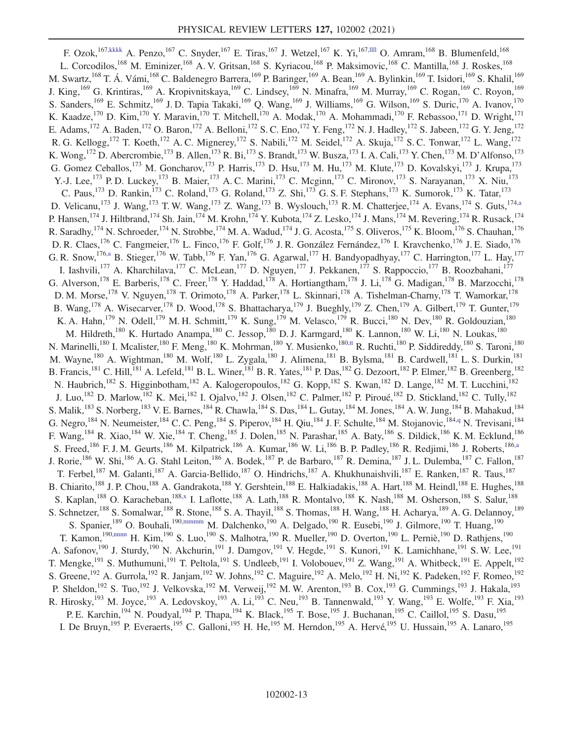<span id="page-12-2"></span><span id="page-12-1"></span><span id="page-12-0"></span>F. Ozok,<sup>16[7,kkkk](#page-18-31)</sup> A. Penzo,<sup>167</sup> C. Snyder,<sup>167</sup> E. Tiras,<sup>167</sup> J. Wetzel,<sup>167</sup> K. Yi,<sup>167,111</sup> O. Amram,<sup>168</sup> B. Blumenfeld,<sup>168</sup> L. Corcodilos,<sup>168</sup> M. Eminizer,<sup>168</sup> A. V. Gritsan,<sup>168</sup> S. Kyriacou,<sup>168</sup> P. Maksimovic,<sup>168</sup> C. Mantilla,<sup>168</sup> J. Roskes,<sup>168</sup> M. Swartz,<sup>168</sup> T. Á. Vámi,<sup>168</sup> C. Baldenegro Barrera,<sup>169</sup> P. Baringer,<sup>169</sup> A. Bean,<sup>169</sup> A. Bylinkin,<sup>169</sup> T. Isidori,<sup>169</sup> S. Khalil,<sup>169</sup> J. King,<sup>169</sup> G. Krintiras,<sup>169</sup> A. Kropivnitskaya,<sup>169</sup> C. Lindsey,<sup>169</sup> N. Minafra,<sup>169</sup> M. Murray,<sup>169</sup> C. Rogan,<sup>169</sup> C. Royon,<sup>169</sup> S. Sanders,<sup>169</sup> E. Schmitz,<sup>169</sup> J. D. Tapia Takaki,<sup>169</sup> Q. Wang,<sup>169</sup> J. Williams,<sup>169</sup> G. Wilson,<sup>169</sup> S. Duric,<sup>170</sup> A. Ivanov,<sup>170</sup> K. Kaadze,<sup>170</sup> D. Kim,<sup>170</sup> Y. Maravin,<sup>170</sup> T. Mitchell,<sup>170</sup> A. Modak,<sup>170</sup> A. Mohammadi,<sup>170</sup> F. Rebassoo,<sup>171</sup> D. Wright,<sup>171</sup> E. Adams,<sup>172</sup> A. Baden,<sup>172</sup> O. Baron,<sup>172</sup> A. Belloni,<sup>172</sup> S. C. Eno,<sup>172</sup> Y. Feng,<sup>172</sup> N. J. Hadley,<sup>172</sup> S. Jabeen,<sup>172</sup> G. Y. Jeng,<sup>172</sup> R. G. Kellogg,<sup>172</sup> T. Koeth,<sup>172</sup> A. C. Mignerey,<sup>172</sup> S. Nabili,<sup>172</sup> M. Seidel,<sup>172</sup> A. Skuja,<sup>172</sup> S. C. Tonwar,<sup>172</sup> L. Wang,<sup>172</sup> K. Wong, <sup>172</sup> D. Abercrombie, <sup>173</sup> B. Allen, <sup>173</sup> R. Bi, <sup>173</sup> S. Brandt, <sup>173</sup> W. Busza, <sup>173</sup> I. A. Cali, <sup>173</sup> Y. Chen, <sup>173</sup> M. D'Alfonso, <sup>173</sup> G. Gomez Ceballos,<sup>173</sup> M. Goncharov,<sup>173</sup> P. Harris,<sup>173</sup> D. Hsu,<sup>173</sup> M. Hu,<sup>173</sup> M. Klute,<sup>173</sup> D. Kovalskyi,<sup>173</sup> J. Krupa,<sup>173</sup> Y.-J. Lee,<sup>173</sup> P. D. Luckey,<sup>173</sup> B. Maier,<sup>173</sup> A. C. Marini,<sup>173</sup> C. Mcginn,<sup>173</sup> C. Mironov,<sup>173</sup> S. Narayanan,<sup>173</sup> X. Niu,<sup>173</sup> C. Paus,<sup>173</sup> D. Rankin,<sup>173</sup> C. Roland,<sup>173</sup> G. Roland,<sup>173</sup> Z. Shi,<sup>173</sup> G. S. F. Stephans,<sup>173</sup> K. Sumorok,<sup>173</sup> K. Tatar,<sup>173</sup> D. Velicanu,<sup>173</sup> J. Wang,<sup>173</sup> T.W. Wang,<sup>173</sup> Z. Wang,<sup>173</sup> B. Wyslouch,<sup>173</sup> R.M. Chatterjee,<sup>174</sup> A. Evans,<sup>174</sup> S. Guts,<sup>174[,a](#page-17-0)</sup> P. Hansen,<sup>174</sup> J. Hiltbrand,<sup>174</sup> Sh. Jain,<sup>174</sup> M. Krohn,<sup>174</sup> Y. Kubota,<sup>174</sup> Z. Lesko,<sup>174</sup> J. Mans,<sup>174</sup> M. Revering,<sup>174</sup> R. Rusack,<sup>174</sup> I. Hiltbrand,<sup>174</sup> Sh. Jain,<sup>174</sup> M. Krohn,<sup>174</sup> Y. Kubota,<sup>174</sup> Z. Lesko,<sup>17</sup> R. Saradhy, <sup>174</sup> N. Schroeder, <sup>174</sup> N. Strobbe, <sup>174</sup> M. A. Wadud, <sup>174</sup> J. G. Acosta, <sup>175</sup> S. Oliveros, <sup>175</sup> K. Bloom, <sup>176</sup> S. Chauhan, <sup>176</sup> D. R. Claes, <sup>176</sup> C. Fangmeier, <sup>176</sup> L. Finco, <sup>176</sup> F. Golf, <sup>176</sup> J. R. González Fernández, <sup>176</sup> I. Kravchenko, <sup>176</sup> J. E. Siado, <sup>176</sup> G. R. Snow,  $^{176,a}$  $^{176,a}$  $^{176,a}$  B. Stieger,  $^{176}$  W. Tabb,  $^{176}$  F. Yan,  $^{176}$  G. Agarwal,  $^{177}$  H. Bandyopadhyay,  $^{177}$  C. Harrington,  $^{177}$  L. Hay,  $^{177}$ I. Iashvili,<sup>177</sup> A. Kharchilava,<sup>177</sup> C. McLean,<sup>177</sup> D. Nguyen,<sup>177</sup> J. Pekkanen,<sup>177</sup> S. Rappoccio,<sup>177</sup> B. Roozbahani,<sup>177</sup> G. Alverson,<sup>178</sup> E. Barberis,<sup>178</sup> C. Freer,<sup>178</sup> Y. Haddad,<sup>178</sup> A. Hortiangtham,<sup>178</sup> J. Li,<sup>178</sup> G. Madigan,<sup>178</sup> B. Marzocchi,<sup>178</sup> D. M. Morse,<sup>178</sup> V. Nguyen,<sup>178</sup> T. Orimoto,<sup>178</sup> A. Parker,<sup>178</sup> L. Skinnari,<sup>178</sup> A. Tishelman-Charny,<sup>178</sup> T. Wamorkar,<sup>178</sup> B. Wang,  $^{178}$  A. Wisecarver,  $^{178}$  D. Wood,  $^{178}$  S. Bhattacharya,  $^{179}$  J. Bueghly,  $^{179}$  Z. Chen,  $^{179}$  A. Gilbert,  $^{179}$  T. Gunter,  $^{179}$ K. A. Hahn,<sup>179</sup> N. Odell,<sup>179</sup> M. H. Schmitt,<sup>179</sup> K. Sung,<sup>179</sup> M. Velasco,<sup>179</sup> R. Bucci,<sup>180</sup> N. Dev,<sup>180</sup> R. Goldouzian,<sup>180</sup> M. Hildreth,<sup>180</sup> K. Hurtado Anampa,<sup>180</sup> C. Jessop,<sup>180</sup> D. J. Karmgard,<sup>180</sup> K. Lannon,<sup>180</sup> W. Li,<sup>180</sup> N. Loukas,<sup>180</sup> N. Marinelli,<sup>180</sup> I. Mcalister,<sup>180</sup> F. Meng,<sup>180</sup> K. Mohrman,<sup>180</sup> Y. Musienko,<sup>180[,tt](#page-17-44)</sup> R. Ruchti,<sup>180</sup> P. Siddireddy,<sup>180</sup> S. Taroni,<sup>180</sup> M. Wayne,<sup>180</sup> A. Wightman,<sup>180</sup> M. Wolf,<sup>180</sup> L. Zygala,<sup>180</sup> J. Alimena,<sup>181</sup> B. Bylsma,<sup>181</sup> B. Cardwell,<sup>181</sup> L. S. Durkin,<sup>181</sup> B. Francis,<sup>181</sup> C. Hill,<sup>181</sup> A. Lefeld,<sup>181</sup> B. L. Winer,<sup>181</sup> B. R. Yates,<sup>181</sup> P. Das,<sup>182</sup> G. Dezoort,<sup>182</sup> P. Elmer,<sup>182</sup> B. Greenberg,<sup>182</sup> N. Haubrich,<sup>182</sup> S. Higginbotham,<sup>182</sup> A. Kalogeropoulos,<sup>182</sup> G. Kopp,<sup>182</sup> S. Kwan,<sup>182</sup> D. Lange,<sup>182</sup> M. T. Lucchini,<sup>182</sup> J. Luo,<sup>182</sup> D. Marlow,<sup>182</sup> K. Mei,<sup>182</sup> I. Ojalvo,<sup>182</sup> J. Olsen,<sup>182</sup> C. Palmer,<sup>182</sup> P. Piroué,<sup>182</sup> D. Stickland,<sup>182</sup> C. Tully,<sup>182</sup> S. Malik,<sup>183</sup> S. Norberg,<sup>183</sup> V. E. Barnes,<sup>184</sup> R. Chawla,<sup>184</sup> S. Das,<sup>184</sup> L. Gutay,<sup>184</sup> M. Jones,<sup>184</sup> A. W. Jung,<sup>184</sup> B. Mahakud,<sup>184</sup> G. Negro,<sup>184</sup> N. Neumeister,<sup>184</sup> C. C. Peng,<sup>184</sup> S. Piperov,<sup>184</sup> H. Qiu,<sup>184</sup> J. F. Schulte,<sup>184</sup> M. Stojanovic,<sup>18[4,q](#page-17-15)</sup> N. Trevisani,<sup>184</sup> F. Wang,<sup>184</sup> R. Xiao,<sup>184</sup> W. Xie,<sup>184</sup> T. Cheng,<sup>185</sup> J. Dolen,<sup>185</sup> N. Parashar,<sup>185</sup> A. Baty,<sup>186</sup> S. Dildick,<sup>186</sup> K. M. Ecklund,<sup>186</sup> S. Freed,<sup>186</sup> F. J. M. Geurts,<sup>186</sup> M. Kilpatrick,<sup>186</sup> A. Kumar,<sup>186</sup> W. Li,<sup>186</sup> B. P. Padley,<sup>186</sup> R. Redjimi,<sup>186</sup> J. Roberts,<sup>186[,a](#page-17-0)</sup> J. Rorie,<sup>186</sup> W. Shi,<sup>186</sup> A. G. Stahl Leiton,<sup>186</sup> A. Bodek,<sup>187</sup> P. de Barbaro,<sup>187</sup> R. Demina,<sup>187</sup> J. L. Dulemba,<sup>187</sup> C. Fallon,<sup>187</sup> T. Ferbel,<sup>187</sup> M. Galanti,<sup>187</sup> A. Garcia-Bellido,<sup>187</sup> O. Hindrichs,<sup>187</sup> A. Khukhunaishvili,<sup>187</sup> E. Ranken,<sup>187</sup> R. Taus,<sup>187</sup> B. Chiarito,<sup>188</sup> J. P. Chou,<sup>188</sup> A. Gandrakota,<sup>188</sup> Y. Gershtein,<sup>188</sup> E. Halkiadakis,<sup>188</sup> A. Hart,<sup>188</sup> M. Heindl,<sup>188</sup> E. Hughes,<sup>188</sup> S. Kaplan,<sup>188</sup> O. Karacheban,<sup>18[8,x](#page-17-22)</sup> I. Laflotte,<sup>188</sup> A. Lath,<sup>188</sup> R. Montalvo,<sup>188</sup> K. Nash,<sup>188</sup> M. Osherson,<sup>188</sup> S. Salur,<sup>188</sup> S. Schnetzer,<sup>188</sup> S. Somalwar,<sup>188</sup> R. Stone,<sup>188</sup> S. A. Thayil,<sup>188</sup> S. Thomas,<sup>188</sup> H. Wang,<sup>188</sup> H. Acharya,<sup>189</sup> A. G. Delannoy,<sup>189</sup> S. Spanier,<sup>189</sup> O. Bouhali,<sup>19[0,mmmm](#page-18-33)</sup> M. Dalchenko,<sup>190</sup> A. Delgado,<sup>190</sup> R. Eusebi,<sup>190</sup> J. Gilmore,<sup>190</sup> T. Huang,<sup>190</sup> T. Kamon,<sup>190[,nnnn](#page-18-34)</sup> H. Kim,<sup>190</sup> S. Luo,<sup>190</sup> S. Malhotra,<sup>190</sup> R. Mueller,<sup>190</sup> D. Overton,<sup>190</sup> L. Perniè,<sup>190</sup> D. Rathjens,<sup>190</sup> A. Safonov,<sup>190</sup> J. Sturdy,<sup>190</sup> N. Akchurin,<sup>191</sup> J. Damgov,<sup>191</sup> V. Hegde,<sup>191</sup> S. Kunori,<sup>191</sup> K. Lamichhane,<sup>191</sup> S. W. Lee,<sup>191</sup> T. Mengke,<sup>191</sup> S. Muthumuni,<sup>191</sup> T. Peltola,<sup>191</sup> S. Undleeb,<sup>191</sup> I. Volobouev,<sup>191</sup> Z. Wang,<sup>191</sup> A. Whitbeck,<sup>191</sup> E. Appelt,<sup>192</sup> S. Greene,<sup>192</sup> A. Gurrola,<sup>192</sup> R. Janjam,<sup>192</sup> W. Johns,<sup>192</sup> C. Maguire,<sup>192</sup> A. Melo,<sup>192</sup> H. Ni,<sup>192</sup> K. Padeken,<sup>192</sup> F. Romeo,<sup>192</sup> P. Sheldon,<sup>192</sup> S. Tuo,<sup>192</sup> J. Velkovska,<sup>192</sup> M. Verweij,<sup>192</sup> M. W. Arenton,<sup>193</sup> B. Cox,<sup>193</sup> G. Cummings,<sup>193</sup> J. Hakala,<sup>193</sup> R. Hirosky,<sup>193</sup> M. Joyce,<sup>193</sup> A. Ledovskoy,<sup>193</sup> A. Li,<sup>193</sup> C. Neu,<sup>193</sup> B. Tannenwald,<sup>193</sup> Y. Wang,<sup>193</sup> E. Wolfe,<sup>193</sup> F. Xia,<sup>193</sup> P. E. Karchin,<sup>194</sup> N. Poudyal,<sup>194</sup> P. Thapa,<sup>194</sup> K. Black,<sup>195</sup> T. Bose,<sup>195</sup> J. Buchanan,<sup>195</sup> C. Caillol,<sup>195</sup> S. Dasu,<sup>195</sup> I. De Bruyn,<sup>195</sup> P. Everaerts,<sup>195</sup> C. Galloni,<sup>195</sup> H. He,<sup>195</sup> M. Herndon,<sup>195</sup> A. Hervé,<sup>195</sup> U. Hussain,<sup>195</sup> A. Lanaro,<sup>195</sup>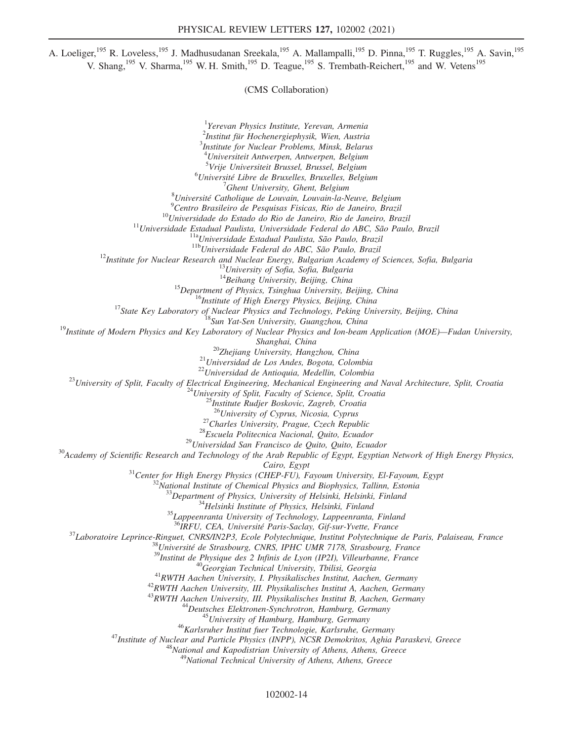A. Loeliger,<sup>195</sup> R. Loveless,<sup>195</sup> J. Madhusudanan Sreekala,<sup>195</sup> A. Mallampalli,<sup>195</sup> D. Pinna,<sup>195</sup> T. Ruggles,<sup>195</sup> A. Savin,<sup>195</sup> V. Shang,<sup>195</sup> V. Sharma,<sup>195</sup> W. H. Smith,<sup>195</sup> D. Teague,<sup>195</sup> S. Trembath-Reichert,<sup>195</sup> and W. Vetens<sup>195</sup>

(CMS Collaboration)

<sup>1</sup>Yerevan Physics Institute, Yerevan, Armenia 2 Institut für Hochenergiephysik, Wien, Austria 3 Institute for Nuclear Problems, Minsk, Belarus <sup>4</sup>Universiteit Antwerpen, Antwerpen, Belgium <sup>5</sup>Vrije Universiteit Brussel, Brussel, Belgium<br><sup>6</sup>Université Libre de Bruxelles, Bruxelles, Belgium <sup>6</sup>Université Libre de Bruxelles, Bruxelles, Belgium  $\frac{7}{7}$ Ghent University, Ghent, Belgium  $'$ Ghent University, Ghent, Belgium<br><sup>8</sup>Université Catholique de Louvain, Louvain la N  $^8$ Université Catholique de Louvain, Louvain-la-Neuve, Belgium<br> $^9$ Cartre Presileire de Pesquisse Fisiese, Pie de Laneire, Presil <sup>9</sup>Centro Brasileiro de Pesquisas Fisicas, Rio de Janeiro, Brazil<br><sup>10</sup>Universidade do Estado do Rio de Janeiro, Rio de Janeiro, Brazil<br><sup>11</sup>Universidade Estadual Paulista, Universidade Federal do ABC, São Paulo, Brazil<br><sup>11</sup> <sup>15</sup>Department of Physics, Tsinghua University, Beijing, China<br><sup>16</sup>Institute of High Energy Physics, Beijing, China<br><sup>17</sup>State Key Laboratory of Nuclear Physics and Technology, Peking University, Beijing, China<br><sup>19</sup>Institu Shanghai, China<br><sup>20</sup>Zhejiang University, Hangzhou, China<br><sup>21</sup>Universidad de Los Andes, Bogota, Colombia<br><sup>22</sup>Universidad de Antioquia, Medellin, Colombia<br><sup>23</sup>University of Split, Faculty of Electrical Engineering, Mechanica <sup>27</sup>Charles University, Prague, Czech Republic<br><sup>28</sup>Escuela Politecnica Nacional, Quito, Ecuador<br><sup>30</sup>Academy of Scientific Research and Technology of the Arab Republic of Egypt, Egyptian Network of High Energy Physics, Cairo, Egypt<br>
<sup>31</sup>Center for High Energy Physics (CHEP-FU), Fayoum University, El-Fayoum, Egypt<br>
<sup>32</sup>National Institute of Chemical Physics and Biophysics, Tallinn, Estonia<br>
<sup>33</sup>Department of Physics, University of Helsink <sup>37</sup>Laboratoire Leprince-Ringuet, CNRS/IN2P3, Ecole Polytechnique, Institut Polytechnique de Paris, Palaiseau, France<br><sup>38</sup>Université de Strasbourg, CNRS, IPHC UMR 7178, Strasbourg, France<br><sup>39</sup>Institut de Physique des 2 In <sup>44</sup>Deutsches Elektronen-Synchrotron, Hamburg, Germany<br><sup>45</sup>University of Hamburg, Hamburg, Germany<br><sup>46</sup>Karlsruher Institut fuer Technologie, Karlsruhe, Germany<br><sup>47</sup>Institute of Nuclear and Particle Physics (INPP), NCSR De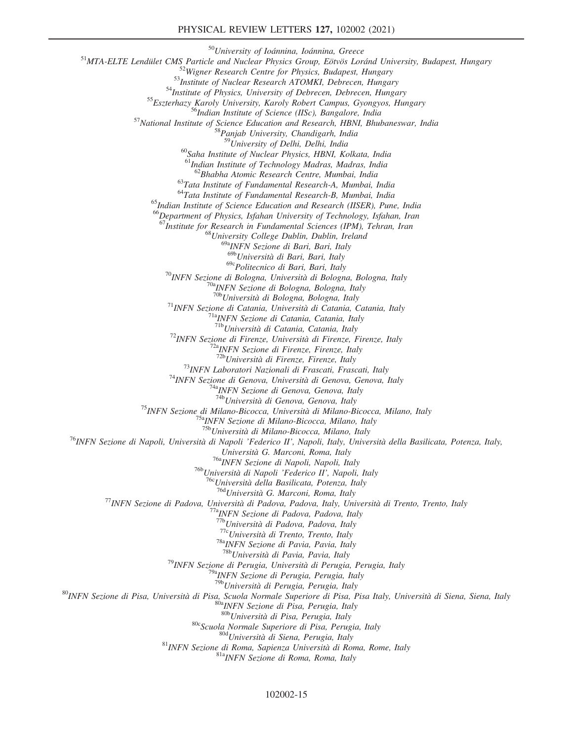$\begin{array}{c} \text{^{50}University of } Io\'annina, Io\'annina, Greece \\ \text{^{51}MTA-ELTE Lendület CMS Particle and Nuclear Physics Group, Eötvös Lor\'and University, Budapest, Hungary \\ \text{^{52}Wigner Research Centre for Physics, Budapest, Hungary \\ \text{^{53}Institute of Nuclear Research ATOMKI, Debrecen, Hungary \\ \text{^{54}Institute of Physics, University of Debrecen, Debrecen, Hungary \\ \text{^{55}Exzterhazy Karoly University, Karoly Robert Campus, Gyongyos, Hungary \\ \text{^{56}Indian Institute of Science (IISc), Bangalore, India \\ \text{^{57}National Institute of Science Education and Research, HBNI, Bhubaneswar, India \\ \text{^{59}University of Delhi,$ <sup>60</sup>Saha Institute of Nuclear Physics, HBNI, Kolkata, India <sup>61</sup>Indian Institute of Technology Madras, Madras, India<br><sup>62</sup>Bhabha Atomic Research Centre, Mumbai, India  $63$ Tata Institute of Fundamental Research-A, Mumbai, India  $64$ Tata Institute of Fundamental Research-B, Mumbai, India  $^{65}$ Indian Institute of Science Education and Research (IISER), Pune, India <sup>66</sup>Department of Physics, Isfahan University of Technology, Isfahan, Iran  $^{67}$ *Institute for Research in Fundamental Sciences (IPM), Tehran, Iran*  $^{68}$ *University College Dublin, Dublin, Ireland* 69aINFN Sezione di Bari, Bari, Italy <sup>69b</sup>Università di Bari, Bari, Italy<br><sup>69c</sup>Politecnico di Bari, Bari, Italy <sup>70</sup>INFN Sezione di Bologna, Università di Bologna, Bologna, Italy <sup>70a</sup>INFN Sezione di Bologna, Bologna, Italy <sup>70b</sup>Università di Bologna, Bologna, Italy <sup>71</sup>INFN Sezione di Catania, Università di Catania, Catania, Italy <sup>71a</sup>INFN Sezione di Catania, Catania, Italy <sup>71b</sup>Università di Catania, Catania, Italy <sup>72</sup>INFN Sezione di Firenze, Università di Firenze, Firenze, Italy <sup>72a</sup>INFN Sezione di Firenze, Firenze, Italy <sup>72b</sup>Università di Firenze, Firenze, Italy <sup>73</sup>INFN Laboratori Nazionali di Frascati, Frascati, Italy <sup>74</sup>INFN Sezione di Genova, Università di Genova, Genova, Italy <sup>74a</sup>*INFN Sezione di Genova, Genova, Italy* 74<sup>4b</sup>*Università di Genova, Genova, Italy* <sup>75</sup>INFN Sezione di Milano-Bicocca, Università di Milano-Bicocca, Milano, Italy <sup>75a</sup>INFN Sezione di Milano-Bicocca, Milano, Italy <sup>75b</sup>Università di Milano-Bicocca, Milano, Italy <sup>76</sup>INFN Sezione di Napoli, Università di Napoli 'Federico II', Napoli, Italy, Università della Basilicata, Potenza, Italy, Università G. Marconi, Roma, Italy<br>
<sup>76a</sup>INFN Sezione di Napoli, Napoli, Italy<br>
<sup>76b</sup>Università di Napoli 'Federico II', Napoli, Italy<br>
<sup>76c</sup>Università della Basilicata, Potenza, Italy<br>
<sup>76</sup><sup>06</sup>Università della Basilicata <sup>77c</sup>Università di Trento, Trento, Italy <sup>78a</sup>INFN Sezione di Pavia, Pavia, Italy <sup>78b</sup>Università di Pavia, Pavia, Italy <sup>79</sup>INFN Sezione di Perugia, Università di Perugia, Perugia, Italy <sup>79a</sup>INFN Sezione di Perugia, Perugia, Italy <sup>79b</sup>Università di Perugia, Perugia, Italy <sup>80</sup>INFN Sezione di Pisa, Università di Pisa, Scuola Normale Superiore di Pisa, Pisa Italy, Università di Siena, Italy <sup>80a</sup>INFN Sezione di Pisa, Perugia, Italy <sup>80b</sup>Università di Pisa, Perugia, Italy <sup>80b</sup>Università di P <sup>80c</sup>Scuola Normale Superiore di Pisa, Perugia, Italy<br><sup>80d</sup>Università di Siena, Perugia, Italy<br><sup>81</sup>INFN Sezione di Roma, Sapienza Università di Roma, Rome, Italy<br><sup>81</sup>ANFN Sezione di Roma, Roma, Italy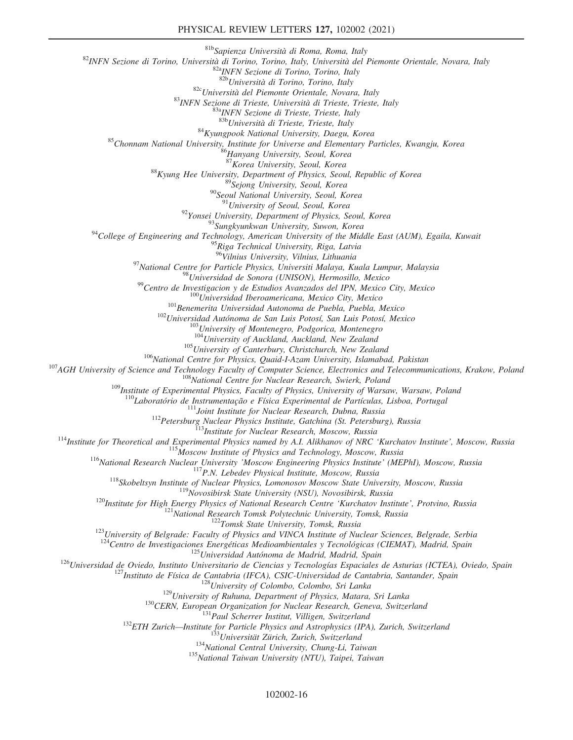## PHYSICAL REVIEW LETTERS 127, 102002 (2021)

<sup>81b</sup>Sapienza Università di Roma, Roma, Italy 82INFN Sezione di Torino, Università di Torino, Italy, Università del Piemonte Orientale, Novara, Italy 82<sup>a</sup>INFN Sezione di Torino, Torino, Italy 82<sup>b</sup>Università di Torino, T <sup>82</sup>CUniversità del Piemonte Orientale, Novara, Italy <sup>83</sup>INFN Sezione di Trieste, Università di Trieste, Trieste, Italy  $^{83a}$ Università di Trieste, Trieste, Italy  $^{83b}$ Università di Trieste, Trieste, Italy <sup>84</sup>Kyungpook National University, Daegu, Korea <sup>85</sup>Chonnam National University, Institute for Universe and Elementary Particles, Kwangju, Korea  $\frac{^{86}$ Hanyang University, Seoul, Korea 87Korea University, Seoul, Korea <sup></sup> <sup>88</sup>Kyung Hee University, Department of Physics, Seoul, Republic of Korea  $^{89}$ Sejong University, Seoul, Korea  $^{90}$ Seoul National University, Seoul, Korea  $^{91}$ University of Seoul, Seoul, Korea  $^{91}$ <sup>92</sup>Yonsei University, Department of Physics, Seoul, Korea<br><sup>93</sup>Sungkyunkwan University, Suwon, Korea<br><sup>94</sup>College of Engineering and Technology, American University of the Middle East (AUM), Egaila, Kuwait<sup>4</sup> <sup>95</sup>Riga Technical University, Riga, Latvia<br><sup>96</sup>Vilnius University, Vilnius, Lithuania <sup>97</sup>National Centre for Particle Physics, Universiti Malaya, Kuala Lumpur, Malaysia<br><sup>98</sup>Universidad de Sonora (UNISON), Hermosillo, Mexico<br><sup>99</sup>Centro de Investigacion y de Estudios Avanzados del IPN, Mexico City, Mexico<br><sup></sup> <sup>105</sup>University of Canterbury, Christchurch, New Zealand<br><sup>106</sup>National Centre for Physics, Quaid-I-Azam University, Islamabad, Pakistan<br><sup>107</sup>AGH University of Science and Technology Faculty of Computer Science, Electronic <sup>111</sup>Joint Institute for Nuclear Research, Dubna, Russia<br><sup>112</sup>Petersburg Nuclear Physics Institute, Gatchina (St. Petersburg), Russia<br><sup>114</sup>Institute for Theoretical and Experimental Physics neared by A.I. Alikhanov of NRC <sup>126</sup>Universidad de Oviedo, Instituto Universitario de Ciencias y Tecnologías Espaciales de Asturias (ICTEA), Oviedo, Spain<br><sup>126</sup>Universitario de Ciencias y Tecnologías Espaciales de Asturias (ICTEA), Oviedo, Spain<br><sup>129</sup>I

## 102002-16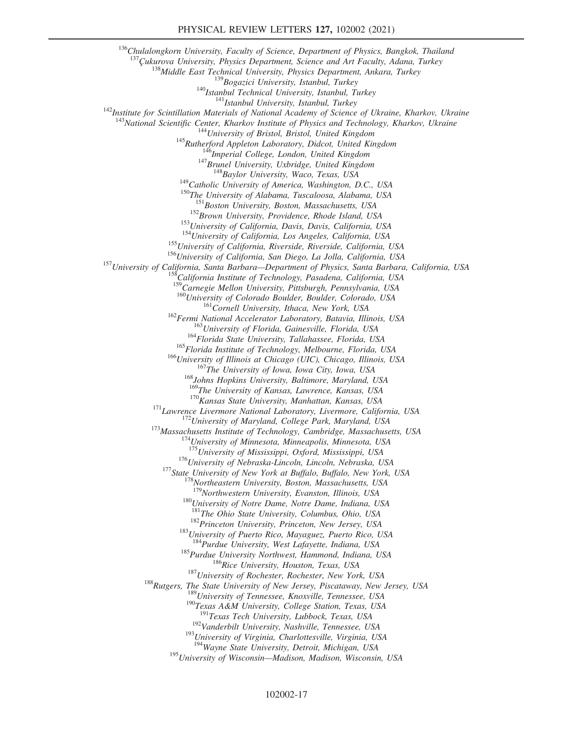$^{136}$ Chulalongkorn University, Faculty of Science, Department of Physics, Bangkok, Thailand<br> $^{137}$ Cukurova University, Physics Department, Science and Art Faculty, Adana, Turkey <sup>138</sup>Middle East Technical University, Physics Department, Ankara, Turkey<br><sup>139</sup>Bogazici University, Istanbul, Turkey<br><sup>140</sup>Istanbul Technical University, Istanbul, Turkey<br><sup>142</sup>Institute for Scintillation Materials of Natio <sup>143</sup>National Scientific Center, Kharkov Institute of Physics and Technology, Kharkov, Ukraine<br><sup>143</sup>National Scientific Center, Kharkov Institute of Physics and Technology, Kharkov, Ukraine<br><sup>145</sup>Rutherford Appleton Labora <sup>152</sup>Brown University, Providence, Rhode Island, USA<br><sup>153</sup>University of California, Davis, Davis, California, USA<br><sup>154</sup>University of California, Los Angeles, California, USA<br><sup>155</sup>University of California, Riverside, River <sup>159</sup>Carnegie Mellon University, Pittsburgh, Pennsylvania, USA<br><sup>160</sup>University of Colorado Boulder, Boulder, Colorado, USA <sup>161</sup>Cornell University, Ithaca, New York, USA<br><sup>162</sup>Fermi National Accelerator Laboratory, Batavia, Illinois, USA<br><sup>163</sup>University of Florida, Gainesville, Florida, USA<br><sup>164</sup>Florida State University, Tallahassee, Florida, <sup>170</sup> Kansas State University, Manhattan, Kansas, USA<br><sup>171</sup> Lawrence Livermore National Laboratory, Livermore, California, USA<br><sup>172</sup> University of Maryland, College Park, Maryland, USA<br><sup>173</sup> Massachusetts Institute of Tec  $^{176}$ University of Nebraska-Lincoln, Lincoln, Nebraska, USA<br> $^{177}$ State University of New York at Buffalo, Buffalo, New York, USA<br> $^{178}$ Northeastern University, Boston, Massachusetts, USA<br> $^{178}$ Northwestern Universit <sup>180</sup>University of Notre Dame, Notre Dame, Indiana, USA <sup>181</sup>The Ohio State University, Columbus, Ohio, USA <sup>182</sup>Princeton University, Princeton, New Jersey, USA  $^{183}$ University of Puerto Rico, Mayaguez, Puerto Rico, USA  $^{184}$ Purdue University, West Lafayette, Indiana, USA <sup>185</sup>Purdue University Northwest, Hammond, Indiana, USA<br><sup>186</sup>Rice University, Houston, Texas, USA<br><sup>187</sup>University of Rochester, Rochester, New York, USA<br><sup>188</sup>Rutgers, The State University of New Jersey, Piscataway, New Je  $192V$ anderbilt University, Nashville, Tennessee, USA  $193$ University of Virginia, Charlottesville, Virginia, USA 194 Wayne State University, Detroit, Michigan, USA <sup>195</sup>University of Wisconsin-Madison, Madison, Wisconsin, USA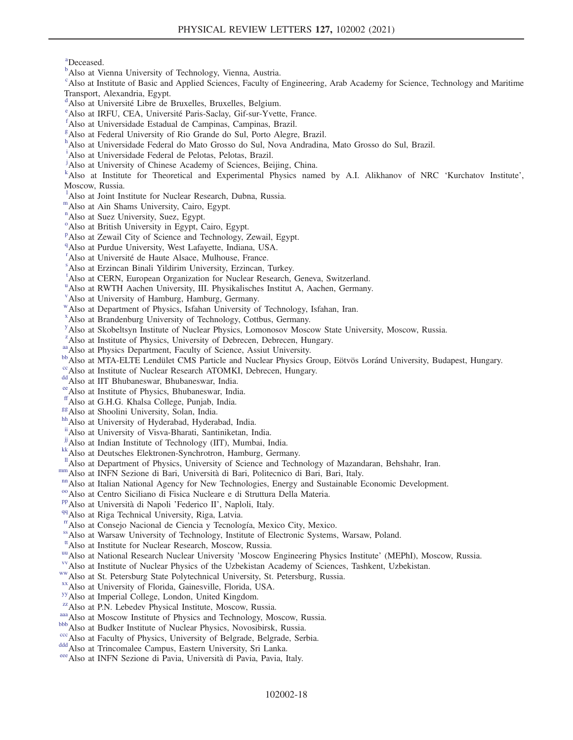<span id="page-17-0"></span>[a](#page-6-17) Deceased.

<span id="page-17-1"></span><sup>[b](#page-6-18)</sup>Also at Vienna University of Technology, Vienna, Austria.

<span id="page-17-2"></span><sup>[c](#page-6-19)</sup>Also at Institute of Basic and Applied Sciences, Faculty of Engineering, Arab Academy for Science, Technology and Maritime Transport, Alexandria, Egypt.

- <span id="page-17-3"></span><sup>[d](#page-6-19)</sup>Also at Univ[e](#page-6-20)rsité Libre de Bruxelles, Bruxelles, Belgium.<br><sup>e</sup>Also et IBELL CEA, Université Peris Seeley, Gif sur Vuett
- <span id="page-17-4"></span><sup>e</sup> Also at IRFU, CEA, Université Paris-Saclay, Gi[f](#page-6-21)-sur-Yvette, France.
- <span id="page-17-5"></span>Also at Universidade Estadual de Campinas, Campinas, Brazil.
- <span id="page-17-6"></span>[g](#page-6-22) Also at Federal University of Rio Grande do Sul, Porto Alegre, Brazil.
- <span id="page-17-7"></span>[h](#page-6-23) Also at Universidade Federal do Mato Grosso do Sul, Nova Andradina, Mato Grosso do Sul, Brazil.
- <span id="page-17-8"></span>[i](#page-6-23) Also at Universidade Federal de Pelotas, Pelotas, Brazil.
- <span id="page-17-9"></span><sup>[j](#page-7-0)</sup>Also at University of Chinese Academy of Sciences, Beijing, China.

<span id="page-17-10"></span><sup>[k](#page-7-1)</sup>Also at Institute for Theoretical and Experimental Physics named by A.I. Alikhanov of NRC 'Kurchatov Institute', Moscow, Russia.

- <span id="page-17-11"></span><sup>1</sup>A[l](#page-7-2)so at Joint Institute for Nuclear Research, Dubna, Russia.
- <span id="page-17-13"></span><span id="page-17-12"></span>[m](#page-7-3)Also at Ain Shams University, Cairo, Egypt.
- <sup>[n](#page-7-3)</sup>Also at Suez University, Suez, Egypt.
- <sup>o</sup>Also at British University in Egypt, Cairo, Egypt.
- <span id="page-17-14"></span><su[p](#page-7-3)>p</sup>Also at Zewail City of Science and Technology, Zewail, Egypt.
- <span id="page-17-15"></span><sup>[q](#page-7-4)</sup>Also at Purdue University, West Lafayette, Indiana, USA.
- <span id="page-17-16"></span>[r](#page-7-5)ulla de Univer[s](#page-7-6)ité de Haute Alsace, Mulhouse, France.<br>Salgo et Francen Bineli Vildirim University, France.
- <span id="page-17-17"></span>Also at Erzincan Binali Yildirim University, Erzincan, Turkey.
- <span id="page-17-18"></span><sup>[t](#page-7-7)</sup>Also at CERN, European Organization for Nuclear Research, Geneva, Switzerland.
- <span id="page-17-19"></span><s[u](#page-7-8)p>u</sup> Also at RWTH Aachen University, III. Physikalisches Institut A, Aachen, Germany.
- <span id="page-17-20"></span>[v](#page-7-9) Also at University of Hamburg, Hamburg, Germany.
- <span id="page-17-21"></span>[w](#page-7-9)Also at Department of Physics, Isfahan University of Technology, Isfahan, Iran.
- <span id="page-17-22"></span>[x](#page-7-10) Also at Brandenburg University of Technology, Cottbus, Germany.
- <span id="page-17-23"></span>[y](#page-8-0) Also at Skobeltsyn Institute of Nuclear Physics, Lomonosov Moscow State University, Moscow, Russia.
- <span id="page-17-24"></span><sup>[z](#page-8-1)</sup>Also at Institute of Physics, University of Debrecen, Debrecen, Hungary.
- <span id="page-17-26"></span>
- <span id="page-17-25"></span>[aa](#page-8-2) Also at Physics Department, Faculty of Science, Assiut University.<br><sup>[bb](#page-8-2)</sup> Also at MTA-ELTE Lendület CMS Particle and Nuclear Physics Group, Eötvös Loránd University, Budapest, Hungary.
- <span id="page-17-28"></span><span id="page-17-27"></span><sup>[cc](#page-8-3)</sup>Also at Institute of Nuclear Research ATOMKI, Debrecen, Hungary. [dd](#page-8-4)<br>
<sup>dd</sup>Also at IIT Bhubaneswar, Bhubaneswar, India.
- 
- <span id="page-17-29"></span><sup>[ee](#page-8-4)</sup>Also at Institute of Physics, Bhubaneswar, India.<br>
<sup>ff</sup>Also at G.H.G. Khalsa College, Punjab, India.
- <span id="page-17-30"></span>
- <span id="page-17-32"></span><span id="page-17-31"></span><sup>[gg](#page-8-6)</sup>Also at Shoolini University, Solan, India.<br><sup>[hh](#page-8-7)</sup>Also at University of Hyderabad, Hyderabad, India.
- 
- <span id="page-17-33"></span>[ii](#page-8-7) Also at University of Visva-Bharati, Santiniketan, India.<br>
<sup>ji</sup> Also at Indian Institute of Technology (IIT), Mumbai, India.
- <span id="page-17-34"></span>
- <span id="page-17-35"></span><sup>[kk](#page-8-9)</sup>Also at Deutsches Elektronen-Synchrotron, Hamburg, Germany.
- 
- <span id="page-17-38"></span>
- <span id="page-17-37"></span><span id="page-17-36"></span><sup>11</sup> Also at Department of Physics, University of Science and Technology of Mazandaran, Behshahr, Iran.<br><sup>nm</sup> Also at INFN Sezione di Bari, Università di Bari, Politecnico di Bari, Bari, Italy.<br><sup>nm</sup> Also at Italian Nationa
- <span id="page-17-40"></span><span id="page-17-39"></span>
- 
- <span id="page-17-41"></span>
- <span id="page-17-42"></span>[rr](#page-9-1)Also at Consejo Nacional de Ciencia y Tecnología, Mexico City, Mexico.
- <span id="page-17-43"></span><sup>[ss](#page-9-2)</sup>Also at Warsaw University of Technology, Institute of Electronic Systems, Warsaw, Poland.<sup>tt</sup>Also at Institute for Nuclear Research, Moscow, Russia.
- <span id="page-17-44"></span>
- <sup>uu</sup> Also at National Research Nuclear University 'Moscow Engineering Physics Institute' (MEPhI), Moscow, Russia.<br><sup>[vv](#page-9-4)</sup> Also at Institute of Nuclear Physics of the Uzbekistan Academy of Sciences, Tashkent, Uzbekistan.<br><sup>[ww](#page-9-5)</sup>
- <span id="page-17-45"></span>
- <span id="page-17-47"></span><span id="page-17-46"></span>
- 
- <span id="page-17-49"></span><span id="page-17-48"></span>
- 
- <span id="page-17-50"></span><sup>[aaa](#page-9-8)</sup> Also at Moscow Institute of Physics and Technology, Moscow, Russia.<br><sup>[bbb](#page-9-9)</sup> Also at Budker Institute of Nuclear Physics, Novosibirsk, Russia.<br><sup>[ccc](#page-9-10)</sup> Also at Faculty of Physics, University of Belgrade, Belgrade, Serbia.<br>
- <span id="page-17-52"></span><span id="page-17-51"></span>
- <span id="page-17-53"></span>
- <span id="page-17-54"></span>
-